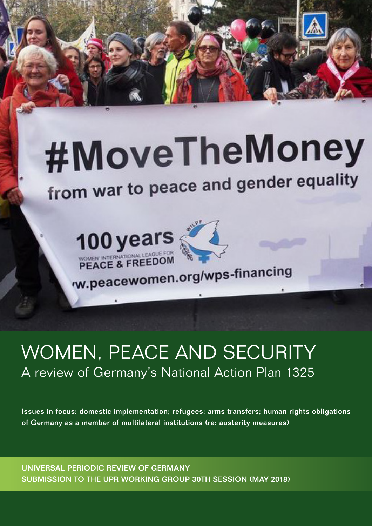

from war to peace and gender equality





W.peacewomen.org/wps-financing

# WOMEN, PEACE AND SECURITY A review of Germany's National Action Plan 1325

Issues in focus: domestic implementation; refugees; arms transfers; human rights obligations of Germany as a member of multilateral institutions (re: austerity measures)

UNIVERSAL PERIODIC REVIEW OF GERMANY SUBMISSION TO THE UPR WORKING GROUP 30TH SESSION (MAY 2018)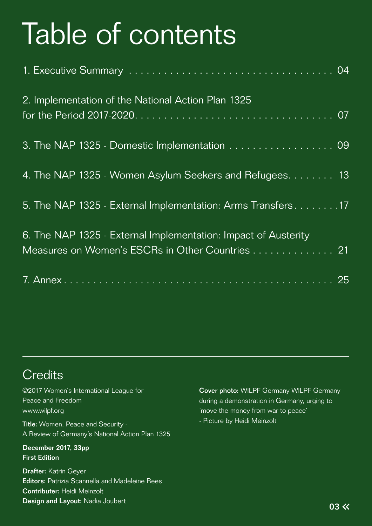# Table of contents

| 2. Implementation of the National Action Plan 1325                                                                |  |
|-------------------------------------------------------------------------------------------------------------------|--|
| 3. The NAP 1325 - Domestic Implementation 09                                                                      |  |
| 4. The NAP 1325 - Women Asylum Seekers and Refugees. 13                                                           |  |
| 5. The NAP 1325 - External Implementation: Arms Transfers 17                                                      |  |
| 6. The NAP 1325 - External Implementation: Impact of Austerity<br>Measures on Women's ESCRs in Other Countries 21 |  |
|                                                                                                                   |  |

# **Credits**

©2017 Women's International League for Peace and Freedom www.wilpf.org Title: Women, Peace and Security - A Review of Germany's National Action Plan 1325 December 2017, 33pp First Edition Drafter: Katrin Geyer

Editors: Patrizia Scannella and Madeleine Rees Contributer: Heidi Meinzolt Design and Layout: Nadia Joubert

Cover photo: WILPF Germany WILPF Germany during a demonstration in Germany, urging to 'move the money from war to peace' - Picture by Heidi Meinzolt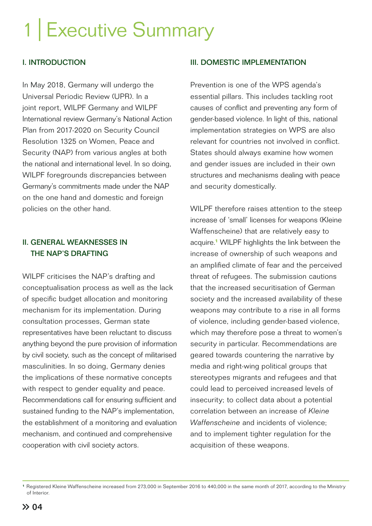# 1 | Executive Summary

### I. INTRODUCTION

In May 2018, Germany will undergo the Universal Periodic Review (UPR). In a joint report, WILPF Germany and WILPF International review Germany's National Action Plan from 2017-2020 on Security Council Resolution 1325 on Women, Peace and Security (NAP) from various angles at both the national and international level. In so doing, WILPF foregrounds discrepancies between Germany's commitments made under the NAP on the one hand and domestic and foreign policies on the other hand.

### II. GENERAL WEAKNESSES IN THE NAP'S DRAFTING

WILPF criticises the NAP's drafting and conceptualisation process as well as the lack of specific budget allocation and monitoring mechanism for its implementation. During consultation processes, German state representatives have been reluctant to discuss anything beyond the pure provision of information by civil society, such as the concept of militarised masculinities. In so doing, Germany denies the implications of these normative concepts with respect to gender equality and peace. Recommendations call for ensuring sufficient and sustained funding to the NAP's implementation, the establishment of a monitoring and evaluation mechanism, and continued and comprehensive cooperation with civil society actors.

### III. DOMESTIC IMPLEMENTATION

Prevention is one of the WPS agenda's essential pillars. This includes tackling root causes of conflict and preventing any form of gender-based violence. In light of this, national implementation strategies on WPS are also relevant for countries not involved in conflict. States should always examine how women and gender issues are included in their own structures and mechanisms dealing with peace and security domestically.

WILPF therefore raises attention to the steep increase of 'small' licenses for weapons (Kleine Waffenscheine) that are relatively easy to acquire.**<sup>1</sup>** WILPF highlights the link between the increase of ownership of such weapons and an amplified climate of fear and the perceived threat of refugees. The submission cautions that the increased securitisation of German society and the increased availability of these weapons may contribute to a rise in all forms of violence, including gender-based violence, which may therefore pose a threat to women's security in particular. Recommendations are geared towards countering the narrative by media and right-wing political groups that stereotypes migrants and refugees and that could lead to perceived increased levels of insecurity; to collect data about a potential correlation between an increase of *Kleine Waffenscheine* and incidents of violence; and to implement tighter regulation for the acquisition of these weapons.

**<sup>1</sup>**Registered Kleine Waffenscheine increased from 273,000 in September 2016 to 440,000 in the same month of 2017, according to the Ministry of Interior.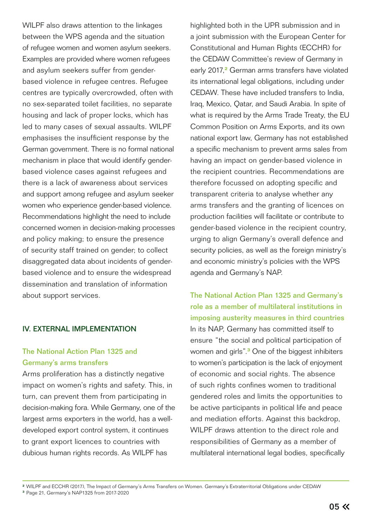WILPF also draws attention to the linkages between the WPS agenda and the situation of refugee women and women asylum seekers. Examples are provided where women refugees and asylum seekers suffer from genderbased violence in refugee centres. Refugee centres are typically overcrowded, often with no sex-separated toilet facilities, no separate housing and lack of proper locks, which has led to many cases of sexual assaults. WILPF emphasises the insufficient response by the German government. There is no formal national mechanism in place that would identify genderbased violence cases against refugees and there is a lack of awareness about services and support among refugee and asylum seeker women who experience gender-based violence. Recommendations highlight the need to include concerned women in decision-making processes and policy making; to ensure the presence of security staff trained on gender; to collect disaggregated data about incidents of genderbased violence and to ensure the widespread dissemination and translation of information about support services.

### IV. EXTERNAL IMPLEMENTATION

### The National Action Plan 1325 and Germany's arms transfers

Arms proliferation has a distinctly negative impact on women's rights and safety. This, in turn, can prevent them from participating in decision-making fora. While Germany, one of the largest arms exporters in the world, has a welldeveloped export control system, it continues to grant export licences to countries with dubious human rights records. As WILPF has

highlighted both in the UPR submission and in a joint submission with the European Center for Constitutional and Human Rights (ECCHR) for the CEDAW Committee's review of Germany in early 2017,**<sup>2</sup>** German arms transfers have violated its international legal obligations, including under CEDAW. These have included transfers to India, Iraq, Mexico, Qatar, and Saudi Arabia. In spite of what is required by the Arms Trade Treaty, the EU Common Position on Arms Exports, and its own national export law, Germany has not established a specific mechanism to prevent arms sales from having an impact on gender-based violence in the recipient countries. Recommendations are therefore focussed on adopting specific and transparent criteria to analyse whether any arms transfers and the granting of licences on production facilities will facilitate or contribute to gender-based violence in the recipient country, urging to align Germany's overall defence and security policies, as well as the foreign ministry's and economic ministry's policies with the WPS agenda and Germany's NAP.

The National Action Plan 1325 and Germany's role as a member of multilateral institutions in imposing austerity measures in third countries In its NAP, Germany has committed itself to ensure "the social and political participation of women and girls".**<sup>3</sup>** One of the biggest inhibiters to women's participation is the lack of enjoyment of economic and social rights. The absence of such rights confines women to traditional gendered roles and limits the opportunities to be active participants in political life and peace and mediation efforts. Against this backdrop, WILPF draws attention to the direct role and responsibilities of Germany as a member of multilateral international legal bodies, specifically

**<sup>2</sup>**WILPF and ECCHR (2017), The Impact of Germany's Arms Transfers on Women. Germany´s Extraterritorial Obligations under CEDAW

**<sup>3</sup>**Page 21, Germany's NAP1325 from 2017-2020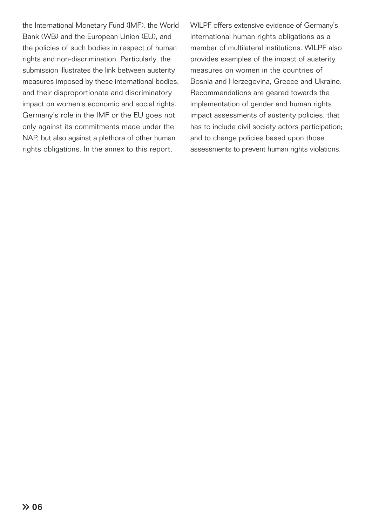the International Monetary Fund (IMF), the World Bank (WB) and the European Union (EU), and the policies of such bodies in respect of human rights and non-discrimination. Particularly, the submission illustrates the link between austerity measures imposed by these international bodies, and their disproportionate and discriminatory impact on women's economic and social rights. Germany's role in the IMF or the EU goes not only against its commitments made under the NAP, but also against a plethora of other human rights obligations. In the annex to this report,

WILPF offers extensive evidence of Germany's international human rights obligations as a member of multilateral institutions. WILPF also provides examples of the impact of austerity measures on women in the countries of Bosnia and Herzegovina, Greece and Ukraine. Recommendations are geared towards the implementation of gender and human rights impact assessments of austerity policies, that has to include civil society actors participation; and to change policies based upon those assessments to prevent human rights violations.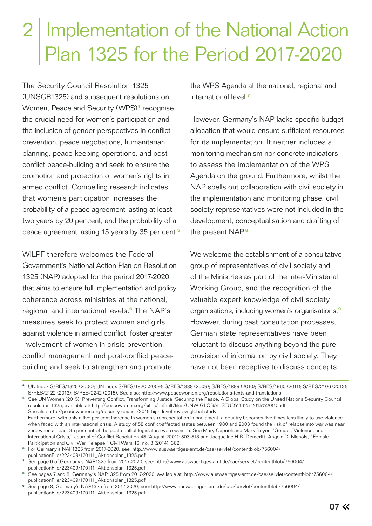# 2 | Implementation of the National Action Plan 1325 for the Period 2017-2020

The Security Council Resolution 1325 (UNSCR1325) and subsequent resolutions on Women, Peace and Security (WPS)**<sup>4</sup>** recognise the crucial need for women's participation and the inclusion of gender perspectives in conflict prevention, peace negotiations, humanitarian planning, peace-keeping operations, and postconflict peace-building and seek to ensure the promotion and protection of women's rights in armed conflict. Compelling research indicates that women's participation increases the probability of a peace agreement lasting at least two years by 20 per cent, and the probability of a peace agreement lasting 15 years by 35 per cent.**<sup>5</sup>**

WILPF therefore welcomes the Federal Government´s National Action Plan on Resolution 1325 (NAP) adopted for the period 2017-2020 that aims to ensure full implementation and policy coherence across ministries at the national, regional and international levels.**<sup>6</sup>** The NAP's measures seek to protect women and girls against violence in armed conflict, foster greater involvement of women in crisis prevention, conflict management and post-conflict peacebuilding and seek to strengthen and promote

the WPS Agenda at the national, regional and international level.**<sup>7</sup>**

However, Germany's NAP lacks specific budget allocation that would ensure sufficient resources for its implementation. It neither includes a monitoring mechanism nor concrete indicators to assess the implementation of the WPS Agenda on the ground. Furthermore, whilst the NAP spells out collaboration with civil society in the implementation and monitoring phase, civil society representatives were not included in the development, conceptualisation and drafting of the present NAP.**<sup>8</sup>**

We welcome the establishment of a consultative group of representatives of civil society and of the Ministries as part of the Inter-Ministerial Working Group, and the recognition of the valuable expert knowledge of civil society organisations, including women's organisations.**<sup>9</sup>** However, during past consultation processes, German state representatives have been reluctant to discuss anything beyond the pure provision of information by civil society. They have not been receptive to discuss concepts

**<sup>8</sup>**See pages 7 and 8, Germany's NAP1325 from 2017-2020, available at: http://www.auswaertiges-amt.de/cae/servlet/contentblob/756004/ publicationFile/223409/170111\_Aktionsplan\_1325.pdf

**<sup>4</sup>**UN Index S/RES/1325 (2000); UN Index S/RES/1820 (2009); S/RES/1888 (2009); S/RES/1889 (2010); S/RES/1960 (2011); S/RES/2106 (2013); S/RES/2122 (2013); S/RES/2242 (2015). See also: http://www.peacewomen.org/resolutions-texts-and-translations. **<sup>5</sup>**See UN Women (2015), Preventing Conflict, Transforming Justice, Securing the Peace. A Global Study on the United Nations Security Council resolution 1325, available at: http://peacewomen.org/sites/default/files/UNW-GLOBAL-STUDY-1325-2015%20(1).pdf See also http://peacewomen.org/security-council/2015-high-level-review-global-study. Furthermore, with only a five per cent increase in women's representation in parliament, a country becomes five times less likely to use violence when faced with an international crisis. A study of 58 conflict-affected states between 1980 and 2003 found the risk of relapse into war was near zero when at least 35 per cent of the post-conflict legislature were women. See Mary Caprioli and Mark Boyer, "Gender, Violence, and International Crisis," Journal of Conflict Resolution 45 (August 2001): 503-518 and Jacqueline H.R. Demeritt, Angela D. Nichols, "Female Participation and Civil War Relapse," Civil Wars 16, no. 3 (2014): 362. **<sup>6</sup>**For Germany's NAP1325 from 2017-2020, see: http://www.auswaertiges-amt.de/cae/servlet/contentblob/756004/ publicationFile/223409/170111\_Aktionsplan\_1325.pdf

**<sup>7</sup>**See page 6 of Germany's NAP1325 from 2017-2020, see: http://www.auswaertiges-amt.de/cae/servlet/contentblob/756004/ publicationFile/223409/170111\_Aktionsplan\_1325.pdf

**<sup>9</sup>**See page 8, Germany's NAP1325 from 2017-2020, see: http://www.auswaertiges-amt.de/cae/servlet/contentblob/756004/ publicationFile/223409/170111\_Aktionsplan\_1325.pdf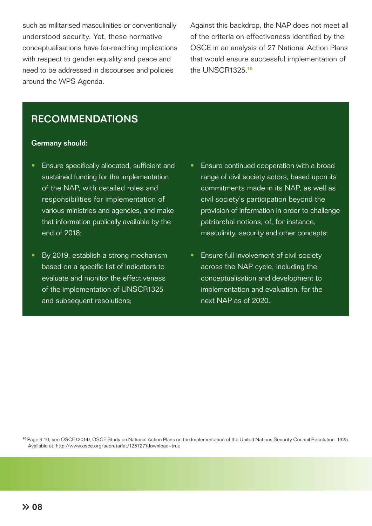such as militarised masculinities or conventionally understood security. Yet, these normative conceptualisations have far-reaching implications with respect to gender equality and peace and need to be addressed in discourses and policies around the WPS Agenda.

Against this backdrop, the NAP does not meet all of the criteria on effectiveness identified by the OSCE in an analysis of 27 National Action Plans that would ensure successful implementation of the UNSCR1325.**<sup>10</sup>**

# RECOMMENDATIONS

#### Germany should:

- Ensure specifically allocated, sufficient and sustained funding for the implementation of the NAP, with detailed roles and responsibilities for implementation of various ministries and agencies, and make that information publically available by the end of 2018;
- By 2019, establish a strong mechanism based on a specific list of indicators to evaluate and monitor the effectiveness of the implementation of UNSCR1325 and subsequent resolutions;
- Ensure continued cooperation with a broad range of civil society actors, based upon its commitments made in its NAP, as well as civil society's participation beyond the provision of information in order to challenge patriarchal notions, of, for instance, masculinity, security and other concepts;
- Ensure full involvement of civil society across the NAP cycle, including the conceptualisation and development to implementation and evaluation, for the next NAP as of 2020.

**<sup>10</sup>**Page 9-10, see OSCE (2014), OSCE Study on National Action Plans on the Implementation of the United Nations Security Council Resolution 1325. Available at: http://www.osce.org/secretariat/125727?download=true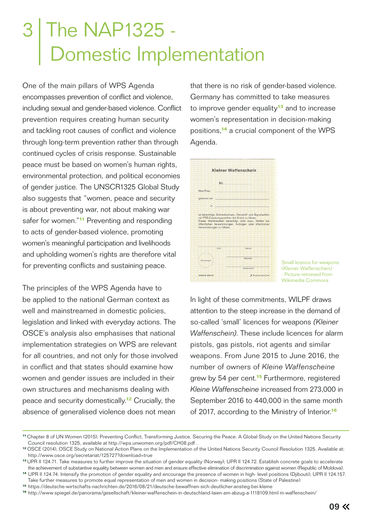# 3 The NAP1325 - Domestic Implementation

One of the main pillars of WPS Agenda encompasses prevention of conflict and violence, including sexual and gender-based violence. Conflict prevention requires creating human security and tackling root causes of conflict and violence through long-term prevention rather than through continued cycles of crisis response. Sustainable peace must be based on women's human rights, environmental protection, and political economies of gender justice. The UNSCR1325 Global Study also suggests that "women, peace and security is about preventing war, not about making war safer for women."**<sup>11</sup>** Preventing and responding to acts of gender-based violence, promoting women's meaningful participation and livelihoods and upholding women's rights are therefore vital for preventing conflicts and sustaining peace.

The principles of the WPS Agenda have to be applied to the national German context as well and mainstreamed in domestic policies, legislation and linked with everyday actions. The OSCE's analysis also emphasises that national implementation strategies on WPS are relevant for all countries, and not only for those involved in conflict and that states should examine how women and gender issues are included in their own structures and mechanisms dealing with peace and security domestically.**<sup>12</sup>** Crucially, the absence of generalised violence does not mean

that there is no risk of gender-based violence. Germany has committed to take measures to improve gender equality**<sup>13</sup>** and to increase women's representation in decision-making positions,**<sup>14</sup>** a crucial component of the WPS Agenda.



Small licence for weapons (*Kleiner Waffenschein)* - Picture retrieved from Wikimedia Commons

In light of these commitments, WILPF draws attention to the steep increase in the demand of so-called 'small' licences for weapons *(Kleiner Waffenschein)*. These include licences for alarm pistols, gas pistols, riot agents and similar weapons. From June 2015 to June 2016, the number of owners of *Kleine Waffenscheine* grew by 54 per cent.**<sup>15</sup>** Furthermore, registered *Kleine Waffenscheine* increased from 273,000 in September 2016 to 440,000 in the same month of 2017, according to the Ministry of Interior.**<sup>16</sup>**

**<sup>11</sup>**Chapter 8 of UN Women (2015), Preventing Conflict, Transforming Justice, Securing the Peace. A Global Study on the United Nations Security Council resolution 1325, available at http://wps.unwomen.org/pdf/CH08.pdf .

**<sup>12</sup>**OSCE (2014), OSCE Study on National Action Plans on the Implementation of the United Nations Security Council Resolution 1325. Available at: http://www.osce.org/secretariat/125727?download=true

**<sup>13</sup>**UPR II 124.71. Take measures to further improve the situation of gender equality (Norway); UPR II 124.72. Establish concrete goals to accelerate the achievement of substantive equality between women and men and ensure effective elimination of discrimination against women (Republic of Moldova).

**<sup>14</sup>**UPR II 124.74. Intensify the promotion of gender equality and encourage the presence of women in high- level positions (Djibouti); UPR II 124.157. Take further measures to promote equal representation of men and women in decision- making positions (State of Palestine)

**<sup>15</sup>**https://deutsche-wirtschafts-nachrichten.de/2016/08/21/deutsche-bewaffnen-sich-deutlicher-anstieg-bei-kleine

**<sup>16</sup>**http://www.spiegel.de/panorama/gesellschaft/kleiner-waffenschein-in-deutschland-laien-am-abzug-a-1118109.html m-waffenschein/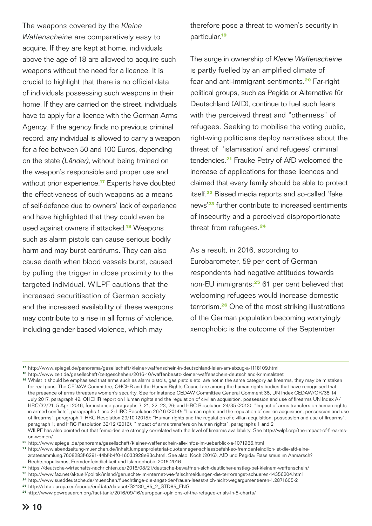The weapons covered by the *Kleine Waffenscheine* are comparatively easy to acquire. If they are kept at home, individuals above the age of 18 are allowed to acquire such weapons without the need for a licence. It is crucial to highlight that there is no official data of individuals possessing such weapons in their home. If they are carried on the street, individuals have to apply for a licence with the German Arms Agency. If the agency finds no previous criminal record, any individual is allowed to carry a weapon for a fee between 50 and 100 Euros, depending on the state *(Länder)*, without being trained on the weapon's responsible and proper use and without prior experience.**<sup>17</sup>** Experts have doubted the effectiveness of such weapons as a means of self-defence due to owners' lack of experience and have highlighted that they could even be used against owners if attacked.**<sup>18</sup>** Weapons such as alarm pistols can cause serious bodily harm and may burst eardrums. They can also cause death when blood vessels burst, caused by pulling the trigger in close proximity to the targeted individual. WILPF cautions that the increased securitisation of German society and the increased availability of these weapons may contribute to a rise in all forms of violence, including gender-based violence, which may

therefore pose a threat to women's security in particular.**<sup>19</sup>**

The surge in ownership of *Kleine Waffenscheine*  is partly fuelled by an amplified climate of fear and anti-immigrant sentiments.**<sup>20</sup>** Far-right political groups, such as Pegida or Alternative für Deutschland (AfD), continue to fuel such fears with the perceived threat and "otherness" of refugees. Seeking to mobilise the voting public, right-wing politicians deploy narratives about the threat of 'islamisation' and refugees' criminal tendencies.**<sup>21</sup>** Frauke Petry of AfD welcomed the increase of applications for these licences and claimed that every family should be able to protect itself.**<sup>22</sup>** Biased media reports and so-called 'fake news'**<sup>23</sup>** further contribute to increased sentiments of insecurity and a perceived disproportionate threat from refugees.**<sup>24</sup>**

As a result, in 2016, according to Eurobarometer, 59 per cent of German respondents had negative attitudes towards non-EU immigrants;**<sup>25</sup>** 61 per cent believed that welcoming refugees would increase domestic terrorism.**<sup>26</sup>** One of the most striking illustrations of the German population becoming worryingly xenophobic is the outcome of the September

**<sup>17</sup>**http://www.spiegel.de/panorama/gesellschaft/kleiner-waffenschein-in-deutschland-laien-am-abzug-a-1118109.html

**<sup>18</sup>**http://www.zeit.de/gesellschaft/zeitgeschehen/2016-10/waffenbesitz-kleiner-waffenschein-deutschland-kriminalitaet

**<sup>19</sup>**Whilst it should be emphasised that arms such as alarm pistols, gas pistols etc. are not in the same category as firearms, they may be mistaken for real guns. The CEDAW Committee, OHCHR and the Human Rights Council are among the human rights bodies that have recognised that the presence of arms threatens women's security. See for instance CEDAW Committee General Comment 35, UN Index CEDAW/GR/35 14 July 2017, paragraph 42; OHCHR report on Human rights and the regulation of civilian acquisition, possession and use of firearms UN Index A/ HRC/32/21, 5 April 2016, for instance paragraphs 7, 21, 22, 23, 26; and HRC Resolution 24/35 (2013): "Impact of arms transfers on human rights in armed conflicts", paragraphs 1 and 2; HRC Resolution 26/16 (2014): "Human rights and the regulation of civilian acquisition, possession and use of firearms", paragraph 1; HRC Resolution 29/10 (2015): "Human rights and the regulation of civilian acquisition, possession and use of firearms", paragraph 1; and HRC Resolution 32/12 (2016): "Impact of arms transfers on human rights", paragraphs 1 and 2 WILPF has also pointed out that femicides are strongly correlated with the level of firearms availability. See http://wilpf.org/the-impact-of-firearms on-women/

**<sup>20</sup>**http://www.spiegel.de/panorama/gesellschaft/kleiner-waffenschein-alle-infos-im-ueberblick-a-1071966.html

**<sup>21</sup>**http://www.abendzeitung-muenchen.de/inhalt.lumpenproletariat-quotenneger-schiessbefehl-so-fremdenfeindlich-ist-die-afd-eine zitatesammlung.7608283f-6291-44bf-b4f0-16033928e83c.html. See also: Koch (2016), AfD und Pegida: Rassismus im Anmarsch? Rechtspopulismus, Fremdenfeindlichkeit und Islamophobie 2015-2016

**<sup>22</sup>** https://deutsche-wirtschafts-nachrichten.de/2016/08/21/deutsche-bewaffnen-sich-deutlicher-anstieg-bei-kleinem-waffenschein/

**<sup>23</sup>**http://www.faz.net/aktuell/politik/inland/geruechte-im-internet-wie-falschmeldungen-die-terrorangst-schueren-14356204.html

**<sup>24</sup>**http://www.sueddeutsche.de/muenchen/fluechtlinge-die-angst-der-frauen-laesst-sich-nicht-wegargumentieren-1.2871605-2

**<sup>25</sup>**http://data.europa.eu/euodp/en/data/dataset/S2130\_85\_2\_STD85\_ENG

**<sup>26</sup>**http://www.pewresearch.org/fact-tank/2016/09/16/european-opinions-of-the-refugee-crisis-in-5-charts/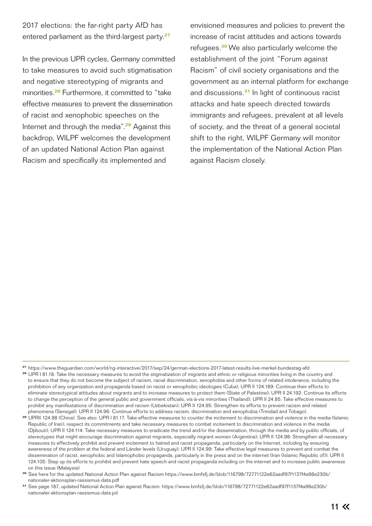2017 elections: the far-right party AfD has entered parliament as the third-largest party.**<sup>27</sup>**

In the previous UPR cycles, Germany committed to take measures to avoid such stigmatisation and negative stereotyping of migrants and minorities.**<sup>28</sup>** Furthermore, it committed to "take effective measures to prevent the dissemination of racist and xenophobic speeches on the Internet and through the media".**<sup>29</sup>** Against this backdrop, WILPF welcomes the development of an updated National Action Plan against Racism and specifically its implemented and

envisioned measures and policies to prevent the increase of racist attitudes and actions towards refugees.**<sup>30</sup>**We also particularly welcome the establishment of the joint "Forum against Racism" of civil society organisations and the government as an internal platform for exchange and discussions.**<sup>31</sup>** In light of continuous racist attacks and hate speech directed towards immigrants and refugees, prevalent at all levels of society, and the threat of a general societal shift to the right, WILPF Germany will monitor the implementation of the National Action Plan against Racism closely.

**27** https://www.theguardian.com/world/ng-interactive/2017/sep/24/german-elections-2017-latest-results-live-merkel-bundestag-afd

**<sup>28</sup>**UPR I 81.18: Take the necessary measures to avoid the stigmatization of migrants and ethnic or religious minorities living in the country and to ensure that they do not become the subject of racism, racial discrimination, xenophobia and other forms of related intolerance, including the prohibition of any organization and propaganda based on racist or xenophobic ideologies (Cuba); UPR II 124.189: Continue their efforts to eliminate stereotypical attitudes about migrants and to increase measures to protect them (State of Palestine); UPR II 24.192: Continue its efforts to change the perception of the general public and government officials, vis-à-vis minorities (Thailand); UPR II 24.85: Take effective measures to prohibit any manifestations of discrimination and racism (Uzbekistan); UPR II 124.95: Strengthen its efforts to prevent racism and related phenomena (Senegal); UPR II 124.96: Continue efforts to address racism, discrimination and xenophobia (Trinidad and Tobago).

<sup>29</sup> UPRII 124.88 (China). See also: UPR I 81.17: Take effective measures to counter the incitement to discrimination and violence in the media (Islamic Republic of Iran); respect its commitments and take necessary measures to combat incitement to discrimination and violence in the media (Djibouti); UPR II 124.114: Take necessary measures to eradicate the trend and/or the dissemination, through the media and by public officials, of stereotypes that might encourage discrimination against migrants, especially migrant women (Argentina); UPR II 124.98: Strengthen all necessary measures to effectively prohibit and prevent incitement to hatred and racist propaganda, particularly on the Internet, including by ensuring awareness of the problem at the federal and Länder levels (Uruguay); UPR II 124.99: Take effective legal measures to prevent and combat the dissemination of racist, xenophobic and Islamophobic propaganda, particularly in the press and on the internet (Iran (Islamic Republic of)); UPR II 124.105: Step up its efforts to prohibit and prevent hate speech and racist propaganda including on the internet and to increase public awareness on this issue (Malaysia).

**<sup>30</sup>**See here for the updated National Action Plan against Racism https://www.bmfsfj.de/blob/116798/72771122e62aadf97f1137f4a98e230b/ nationaler-aktionsplan-rassismus-data.pdf

**<sup>31</sup>**See page 187, updated National Action Plan against Racism: https://www.bmfsfj.de/blob/116798/72771122e62aadf97f1137f4a98e230b/ nationaler-aktionsplan-rassismus-data.pd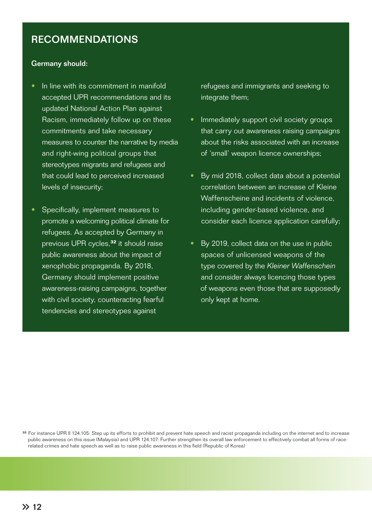# RECOMMENDATIONS

#### Germany should:

- In line with its commitment in manifold accepted UPR recommendations and its updated National Action Plan against Racism, immediately follow up on these commitments and take necessary measures to counter the narrative by media and right-wing political groups that stereotypes migrants and refugees and that could lead to perceived increased levels of insecurity;
- Specifically, implement measures to promote a welcoming political climate for refugees. As accepted by Germany in previous UPR cycles,**<sup>32</sup>** it should raise public awareness about the impact of xenophobic propaganda. By 2018, Germany should implement positive awareness-raising campaigns, together with civil society, counteracting fearful tendencies and stereotypes against

refugees and immigrants and seeking to integrate them;

- Immediately support civil society groups that carry out awareness raising campaigns about the risks associated with an increase of 'small' weapon licence ownerships;
- By mid 2018, collect data about a potential correlation between an increase of Kleine Waffenscheine and incidents of violence including gender-based violence, and consider each licence application carefully;
- By 2019, collect data on the use in public spaces of unlicensed weapons of the type covered by the *Kleiner Waffenschein* and consider always licencing those types of weapons even those that are supposedly only kept at home.

**<sup>32</sup>**For instance UPR II 124.105: Step up its efforts to prohibit and prevent hate speech and racist propaganda including on the internet and to increase public awareness on this issue (Malaysia) and UPR 124.107: Further strengthen its overall law enforcement to effectively combat all forms of race related crimes and hate speech as well as to raise public awareness in this field (Republic of Korea)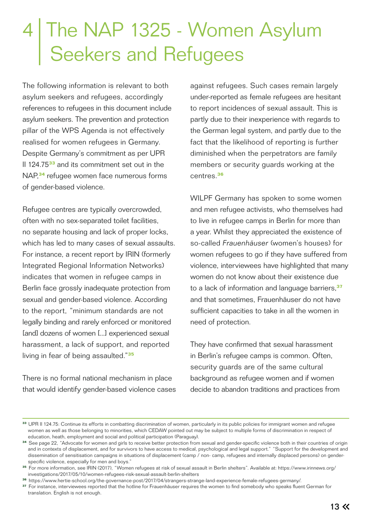# 4 The NAP 1325 - Women Asylum Seekers and Refugees

The following information is relevant to both asylum seekers and refugees, accordingly references to refugees in this document include asylum seekers. The prevention and protection pillar of the WPS Agenda is not effectively realised for women refugees in Germany. Despite Germany's commitment as per UPR II 124.75**<sup>33</sup>** and its commitment set out in the NAP,**<sup>34</sup>** refugee women face numerous forms of gender-based violence.

Refugee centres are typically overcrowded, often with no sex-separated toilet facilities, no separate housing and lack of proper locks, which has led to many cases of sexual assaults. For instance, a recent report by IRIN (formerly Integrated Regional Information Networks) indicates that women in refugee camps in Berlin face grossly inadequate protection from sexual and gender-based violence. According to the report, "minimum standards are not legally binding and rarely enforced or monitored [and] dozens of women [...] experienced sexual harassment, a lack of support, and reported living in fear of being assaulted."**<sup>35</sup>**

There is no formal national mechanism in place that would identify gender-based violence cases

against refugees. Such cases remain largely under-reported as female refugees are hesitant to report incidences of sexual assault. This is partly due to their inexperience with regards to the German legal system, and partly due to the fact that the likelihood of reporting is further diminished when the perpetrators are family members or security guards working at the centres.**<sup>36</sup>**

WILPF Germany has spoken to some women and men refugee activists, who themselves had to live in refugee camps in Berlin for more than a year. Whilst they appreciated the existence of so-called *Frauenhäuser* (women's houses) for women refugees to go if they have suffered from violence, interviewees have highlighted that many women do not know about their existence due to a lack of information and language barriers,**<sup>37</sup>** and that sometimes, Frauenhäuser do not have sufficient capacities to take in all the women in need of protection.

They have confirmed that sexual harassment in Berlin's refugee camps is common. Often, security guards are of the same cultural background as refugee women and if women decide to abandon traditions and practices from

**<sup>33</sup>**UPR II 124.75: Continue its efforts in combatting discrimination of women, particularly in its public policies for immigrant women and refugee women as well as those belonging to minorities, which CEDAW pointed out may be subject to multiple forms of discrimination in respect of education, heath, employment and social and political participation (Paraguay).

**<sup>34</sup>**See page 22, "Advocate for women and girls to receive better protection from sexual and gender-specific violence both in their countries of origin and in contexts of displacement, and for survivors to have access to medical, psychological and legal support." "Support for the development and dissemination of sensitisation campaigns in situations of displacement (camp / non- camp, refugees and internally displaced persons) on gender specific violence, especially for men and boys."

**<sup>35</sup>**For more information, see IRIN (2017), "Women refugees at risk of sexual assault in Berlin shelters". Available at: https://www.irinnews.org/ investigations/2017/05/10/women-refugees-risk-sexual-assault-berlin-shelters

**<sup>36</sup>** https://www.hertie-school.org/the-governance-post/2017/04/strangers-strange-land-experience-female-refugees-germany/.

<sup>&</sup>lt;sup>37</sup> For instance, interviewees reported that the hotline for Frauenhäuser requires the women to find somebody who speaks fluent German for translation. English is not enough.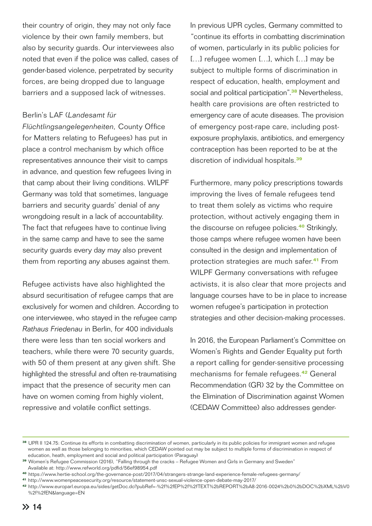their country of origin, they may not only face violence by their own family members, but also by security guards. Our interviewees also noted that even if the police was called, cases of gender-based violence, perpetrated by security forces, are being dropped due to language barriers and a supposed lack of witnesses.

#### Berlin's LAF (*Landesamt für*

*Flüchtlingsangelegenheiten,* County Office for Matters relating to Refugees) has put in place a control mechanism by which office representatives announce their visit to camps in advance, and question few refugees living in that camp about their living conditions. WILPF Germany was told that sometimes, language barriers and security guards' denial of any wrongdoing result in a lack of accountability. The fact that refugees have to continue living in the same camp and have to see the same security guards every day may also prevent them from reporting any abuses against them.

Refugee activists have also highlighted the absurd securitisation of refugee camps that are exclusively for women and children. According to one interviewee, who stayed in the refugee camp *Rathaus Friedenau* in Berlin, for 400 individuals there were less than ten social workers and teachers, while there were 70 security guards, with 50 of them present at any given shift. She highlighted the stressful and often re-traumatising impact that the presence of security men can have on women coming from highly violent, repressive and volatile conflict settings.

In previous UPR cycles, Germany committed to "continue its efforts in combatting discrimination of women, particularly in its public policies for [...] refugee women [...], which [...] may be subject to multiple forms of discrimination in respect of education, health, employment and social and political participation".**<sup>38</sup>** Nevertheless, health care provisions are often restricted to emergency care of acute diseases. The provision of emergency post-rape care, including postexposure prophylaxis, antibiotics, and emergency contraception has been reported to be at the discretion of individual hospitals.**<sup>39</sup>**

Furthermore, many policy prescriptions towards improving the lives of female refugees tend to treat them solely as victims who require protection, without actively engaging them in the discourse on refugee policies.**<sup>40</sup>** Strikingly, those camps where refugee women have been consulted in the design and implementation of protection strategies are much safer.**<sup>41</sup>** From WILPF Germany conversations with refugee activists, it is also clear that more projects and language courses have to be in place to increase women refugee's participation in protection strategies and other decision-making processes.

In 2016, the European Parliament's Committee on Women's Rights and Gender Equality put forth a report calling for gender-sensitive processing mechanisms for female refugees.**<sup>42</sup>** General Recommendation (GR) 32 by the Committee on the Elimination of Discrimination against Women (CEDAW Committee) also addresses gender-

**<sup>38</sup>**UPR II 124.75: Continue its efforts in combatting discrimination of women, particularly in its public policies for immigrant women and refugee women as well as those belonging to minorities, which CEDAW pointed out may be subject to multiple forms of discrimination in respect of education, heath, employment and social and political participation (Paraguay)

**<sup>39</sup>**Women's Refugee Commission (2016), "Falling through the cracks – Refugee Women and Girls in Germany and Sweden" Available at: http://www.refworld.org/pdfid/56ef98954.pdf

**<sup>40</sup>**https://www.hertie-school.org/the-governance-post/2017/04/strangers-strange-land-experience-female-refugees-germany/

**<sup>41</sup>**http://www.womenpeacesecurity.org/resource/statement-unsc-sexual-violence-open-debate-may-2017/

**<sup>42</sup>**http://www.europarl.europa.eu/sides/getDoc.do?pubRef=-%2f%2fEP%2f%2fTEXT%2bREPORT%2bA8-2016-0024%2b0%2bDOC%2bXML%2bV0 %2f%2fEN&language=EN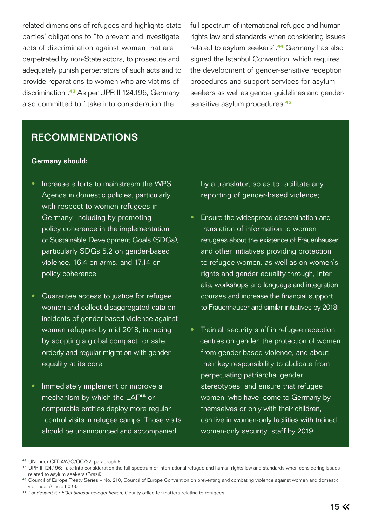related dimensions of refugees and highlights state parties' obligations to "to prevent and investigate acts of discrimination against women that are perpetrated by non-State actors, to prosecute and adequately punish perpetrators of such acts and to provide reparations to women who are victims of discrimination".**<sup>43</sup>** As per UPR II 124.196, Germany also committed to "take into consideration the

full spectrum of international refugee and human rights law and standards when considering issues related to asylum seekers".**<sup>44</sup>** Germany has also signed the Istanbul Convention, which requires the development of gender-sensitive reception procedures and support services for asylumseekers as well as gender guidelines and gendersensitive asylum procedures.**<sup>45</sup>**

# RECOMMENDATIONS

#### Germany should:

- Increase efforts to mainstream the WPS Agenda in domestic policies, particularly with respect to women refugees in Germany, including by promoting policy coherence in the implementation of Sustainable Development Goals (SDGs), particularly SDGs 5.2 on gender-based violence, 16.4 on arms, and 17.14 on policy coherence;
- Guarantee access to justice for refugee women and collect disaggregated data on incidents of gender-based violence against women refugees by mid 2018, including by adopting a global compact for safe, orderly and regular migration with gender equality at its core;
- Immediately implement or improve a mechanism by which the LAF**<sup>46</sup>** or comparable entities deploy more regular control visits in refugee camps. Those visits should be unannounced and accompanied

by a translator, so as to facilitate any reporting of gender-based violence;

- Ensure the widespread dissemination and translation of information to women refugees about the existence of Frauenhäuser and other initiatives providing protection to refugee women, as well as on women's rights and gender equality through, inter alia, workshops and language and integration courses and increase the financial support to Frauenhäuser and similar initiatives by 2018;
- Train all security staff in refugee reception centres on gender, the protection of women from gender-based violence, and about their key responsibility to abdicate from perpetuating patriarchal gender stereotypes and ensure that refugee women, who have come to Germany by themselves or only with their children, can live in women-only facilities with trained women-only security staff by 2019;

**<sup>43</sup>**UN Index CEDAW/C/GC/32, paragraph 8

**<sup>44</sup>**UPR II 124.196: Take into consideration the full spectrum of international refugee and human rights law and standards when considering issues related to asylum seekers (Brazil)

**<sup>45</sup>**Council of Europe Treaty Series – No. 210, Council of Europe Convention on preventing and combating violence against women and domestic violence, Article 60 (3)

**<sup>46</sup>***Landesamt für Flüchtlingsangelegenheiten*, County office for matters relating to refugees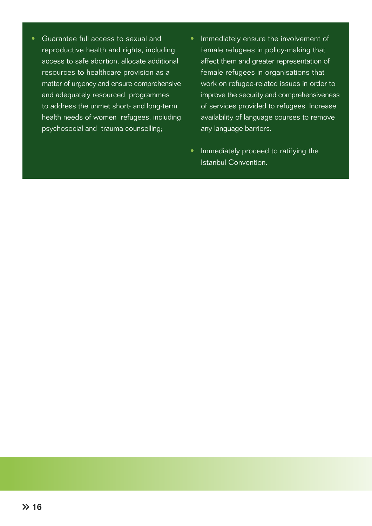- Guarantee full access to sexual and reproductive health and rights, including access to safe abortion, allocate additional resources to healthcare provision as a matter of urgency and ensure comprehensive and adequately resourced programmes to address the unmet short- and long-term health needs of women refugees, including psychosocial and trauma counselling;
- Immediately ensure the involvement of female refugees in policy-making that affect them and greater representation of female refugees in organisations that work on refugee-related issues in order to improve the security and comprehensiveness of services provided to refugees. Increase availability of language courses to remove any language barriers.
- Immediately proceed to ratifying the Istanbul Convention.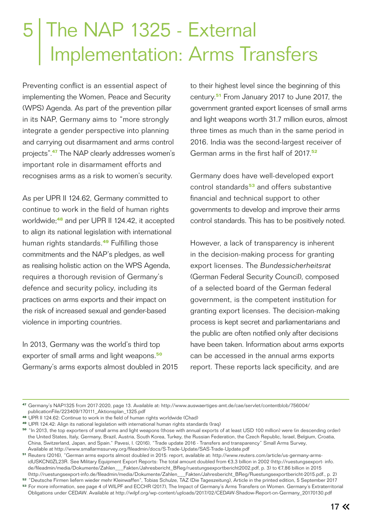# 5 The NAP 1325 - External | Implementation: Arms Transfers

Preventing conflict is an essential aspect of implementing the Women, Peace and Security (WPS) Agenda. As part of the prevention pillar in its NAP, Germany aims to "more strongly integrate a gender perspective into planning and carrying out disarmament and arms control projects".**<sup>47</sup>** The NAP clearly addresses women's important role in disarmament efforts and recognises arms as a risk to women's security.

As per UPR II 124.62, Germany committed to continue to work in the field of human rights worldwide;**<sup>48</sup>** and per UPR II 124.42, it accepted to align its national legislation with international human rights standards.**<sup>49</sup>** Fulfilling those commitments and the NAP's pledges, as well as realising holistic action on the WPS Agenda, requires a thorough revision of Germany's defence and security policy, including its practices on arms exports and their impact on the risk of increased sexual and gender-based violence in importing countries.

In 2013, Germany was the world's third top exporter of small arms and light weapons.**<sup>50</sup>** Germany's arms exports almost doubled in 2015 to their highest level since the beginning of this century.**<sup>51</sup>** From January 2017 to June 2017, the government granted export licenses of small arms and light weapons worth 31.7 million euros, almost three times as much than in the same period in 2016. India was the second-largest receiver of German arms in the first half of 2017.**<sup>52</sup>**

Germany does have well-developed export control standards**<sup>53</sup>** and offers substantive financial and technical support to other governments to develop and improve their arms control standards. This has to be positively noted.

However, a lack of transparency is inherent in the decision-making process for granting export licenses. The *Bundessicherheitsrat*  (German Federal Security Council), composed of a selected board of the German federal government, is the competent institution for granting export licenses. The decision-making process is kept secret and parliamentarians and the public are often notified only after decisions have been taken. Information about arms exports can be accessed in the annual arms exports report. These reports lack specificity, and are

**<sup>47</sup>**Germany's NAP1325 from 2017-2020, page 13. Available at: http://www.auswaertiges-amt.de/cae/servlet/contentblob/756004/ publicationFile/223409/170111\_Aktionsplan\_1325.pdf

**<sup>48</sup>**UPR II 124.62: Continue to work in the field of human rights worldwide (Chad)

**<sup>49</sup>**UPR 124.42: Align its national legislation with international human rights standards (Iraq)

**<sup>50</sup>**"In 2013, the top exporters of small arms and light weapons (those with annual exports of at least USD 100 million) were (in descending order) the United States, Italy, Germany, Brazil, Austria, South Korea, Turkey, the Russian Federation, the Czech Republic, Israel, Belgium, Croatia, China, Switzerland, Japan, and Spain." Pavesi, I. (2016), "Trade update 2016 - Transfers and transparency" Small Arms Survey, Available at http://www.smallarmssurvey.org/fileadmin/docs/S-Trade-Update/SAS-Trade-Update.pdf

**<sup>51</sup>**Reuters (2016), "German arms exports almost doubled in 2015: report, available at: http://www.reuters.com/article/us-germany-arms idUSKCN0ZL23R. See Military Equipment Export Reports: The total amount doubled from €3,3 billion in 2002 (http://ruestungsexport- info. de/fileadmin/media/Dokumente/Zahlen\_\_\_Fakten/Jahresbericht\_BReg/ruestungsexportbericht2002.pdf, p. 3) to €7,86 billion in 2015 (http://ruestungsexport-info.de/fileadmin/media/Dokumente/Zahlen\_\_\_Fakten/Jahresbericht\_BReg/Ruestungsexportbericht-2015.pdf., p. 2)

**<sup>52</sup>**"Deutsche Firmen liefern wieder mehr Kleinwaffen", Tobias Schulze, TAZ (Die Tageszeitung), Article in the printed edition, 5 September 2017

**<sup>53</sup>**For more information, see page 4 of WILPF and ECCHR (2017), The Impact of Germany's Arms Transfers on Women. Germany´s Extraterritorial Obligations under CEDAW. Available at http://wilpf.org/wp-content/uploads/2017/02/CEDAW-Shadow-Report-on-Germany\_20170130.pdf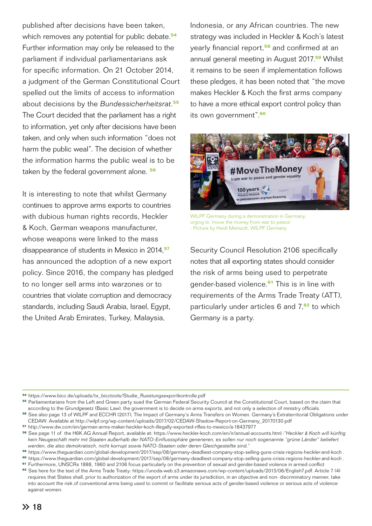published after decisions have been taken, which removes any potential for public debate.**<sup>54</sup>** Further information may only be released to the parliament if individual parliamentarians ask for specific information. On 21 October 2014, a judgment of the German Constitutional Court spelled out the limits of access to information about decisions by the *Bundessicherheitsrat*. **55** The Court decided that the parliament has a right to information, yet only after decisions have been taken, and only when such information "does not harm the public weal". The decision of whether the information harms the public weal is to be taken by the federal government alone. **<sup>56</sup>**

It is interesting to note that whilst Germany continues to approve arms exports to countries with dubious human rights records, Heckler & Koch, German weapons manufacturer, whose weapons were linked to the mass disappearance of students in Mexico in 2014,**<sup>57</sup>** has announced the adoption of a new export policy. Since 2016, the company has pledged to no longer sell arms into warzones or to countries that violate corruption and democracy standards, including Saudi Arabia, Israel, Egypt, the United Arab Emirates, Turkey, Malaysia,

Indonesia, or any African countries. The new strategy was included in Heckler & Koch's latest yearly financial report,**<sup>58</sup>** and confirmed at an annual general meeting in August 2017.**<sup>59</sup>** Whilst it remains to be seen if implementation follows these pledges, it has been noted that "the move makes Heckler & Koch the first arms company to have a more ethical export control policy than its own government".**<sup>60</sup>**



WILPF Germany during a demonstration in Germany, urging to 'move the money from war to peace' - Picture by Heidi Meinzolt, WILPF Germany

Security Council Resolution 2106 specifically notes that all exporting states should consider the risk of arms being used to perpetrate gender-based violence.**<sup>61</sup>** This is in line with requirements of the Arms Trade Treaty (ATT), particularly under articles 6 and 7,**<sup>62</sup>** to which Germany is a party.

**<sup>54</sup>**https://www.bicc.de/uploads/tx\_bicctools/Studie\_Ruestungsexportkontrolle.pdf

**<sup>55</sup>**Parliamentarians from the Left and Green party sued the German Federal Security Council at the Constitutional Court, based on the claim that according to the *Grundgesetz* (Basic Law), the government is to decide on arms exports, and not only a selection of ministry officials.

**<sup>56</sup>**See also page 13 of WILPF and ECCHR (2017), The Impact of Germany's Arms Transfers on Women. Germany´s Extraterritorial Obligations under CEDAW. Available at http://wilpf.org/wp-content/uploads/2017/02/CEDAW-Shadow-Report-on-Germany\_20170130.pdf

**<sup>57</sup>**http://www.dw.com/en/german-arms-maker-heckler-koch-illegally-exported-rifles-to-mexico/a-18437977

**<sup>58</sup>**See page 11 of the H6K AG Annual Report, available at: https://www.heckler-koch.com/en/ir/annual-accounts.html :*"Heckler & Koch will künftig kein Neugeschäft mehr mit Staaten außerhalb der NATO-Einflusssphäre generieren, es sollen nur noch sogenannte "grüne Länder" beliefert werden, die also demokratisch, nicht korrupt sowie NATO-Staaten oder deren Gleichgestellte sind."*

**<sup>59</sup>** https://www.theguardian.com/global-development/2017/sep/08/germany-deadliest-company-stop-selling-guns-crisis-regions-heckler-and-koch .

**<sup>60</sup>** https://www.theguardian.com/global-development/2017/sep/08/germany-deadliest-company-stop-selling-guns-crisis-regions-heckler-and-koch .

**<sup>61</sup>**Furthermore, UNSCRs 1888, 1960 and 2106 focus particularly on the prevention of sexual and gender-based violence in armed conflict

**<sup>62</sup>**See here for the text of the Arms Trade Treaty: https://unoda-web.s3.amazonaws.com/wp-content/uploads/2013/06/English7.pdf. Article 7 (4) requires that States shall, prior to authorization of the export of arms under its jurisdiction, in an objective and non- discriminatory manner, take into account the risk of conventional arms being used to commit or facilitate serious acts of gender-based violence or serious acts of violence against women.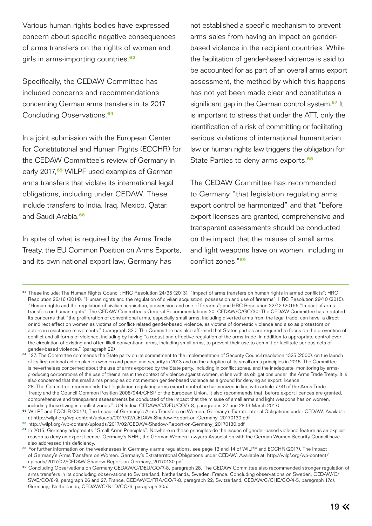Various human rights bodies have expressed concern about specific negative consequences of arms transfers on the rights of women and girls in arms-importing countries.**<sup>63</sup>**

Specifically, the CEDAW Committee has included concerns and recommendations concerning German arms transfers in its 2017 Concluding Observations.**<sup>64</sup>**

In a joint submission with the European Center for Constitutional and Human Rights (ECCHR) for the CEDAW Committee's review of Germany in early 2017,**<sup>65</sup>** WILPF used examples of German arms transfers that violate its international legal obligations, including under CEDAW. These include transfers to India, Iraq, Mexico, Qatar, and Saudi Arabia.**<sup>66</sup>**

In spite of what is required by the Arms Trade Treaty, the EU Common Position on Arms Exports, and its own national export law, Germany has

not established a specific mechanism to prevent arms sales from having an impact on genderbased violence in the recipient countries. While the facilitation of gender-based violence is said to be accounted for as part of an overall arms export assessment, the method by which this happens has not yet been made clear and constitutes a significant gap in the German control system.**<sup>67</sup>** It is important to stress that under the ATT, only the identification of a risk of committing or facilitating serious violations of international humanitarian law or human rights law triggers the obligation for State Parties to deny arms exports.**<sup>68</sup>**

The CEDAW Committee has recommended to Germany "that legislation regulating arms export control be harmonized" and that "before export licenses are granted, comprehensive and transparent assessments should be conducted on the impact that the misuse of small arms and light weapons have on women, including in conflict zones."**<sup>69</sup>**

**<sup>63</sup>**These include: The Human Rights Council: HRC Resolution 24/35 (2013): "Impact of arms transfers on human rights in armed conflicts"; HRC Resolution 26/16 (2014): "Human rights and the regulation of civilian acquisition, possession and use of firearms"; HRC Resolution 29/10 (2015): "Human rights and the regulation of civilian acquisition, possession and use of firearms"; and HRC Resolution 32/12 (2016): "Impact of arms transfers on human rights". The CEDAW Committee's General Recommendations 30: CEDAW/C/GC/30: The CEDAW Committee has restated its concerns that "the proliferation of conventional arms, especially small arms, including diverted arms from the legal trade, can have a direct or indirect effect on women as victims of conflict-related gender-based violence, as victims of domestic violence and also as protestors or actors in resistance movements." (paragraph 32.). The Committee has also affirmed that States parties are required to focus on the prevention of conflict and all forms of violence, including by having "a robust and effective regulation of the arms trade, in addition to appropriate control over the circulation of existing and often illicit conventional arms, including small arms, to prevent their use to commit or facilitate serious acts of gender-based violence." (paragraph 29)

<sup>64</sup> "27. The Committee commends the State party on its commitment to the implementation of Security Council resolution 1325 (2000), on the launch of its first national action plan on women and peace and security in 2013 and on the adoption of its small arms principles in 2015. The Committee is nevertheless concerned about the use of arms exported by the State party, including in conflict zones, and the inadequate monitoring by arms producing corporations of the use of their arms in the context of violence against women, in line with its obligations under the Arms Trade Treaty. It is also concerned that the small arms principles do not mention gender-based violence as a ground for denying an export licence. 28. The Committee recommends that legislation regulating arms export control be harmonized in line with article 7 (4) of the Arms Trade Treaty and the Council Common Position 2008/944/CFSP of the European Union. It also recommends that, before export licences are granted,

 comprehensive and transparent assessments be conducted of the impact that the misuse of small arms and light weapons has on women, including those living in conflict zones.". UN Index: CEDAW/C/DEU/CO/7-8, paragraphs 27 and 28 (3 March 2017)

<sup>65</sup> WILPF and ECCHR (2017), The Impact of Germany's Arms Transfers on Women. Germany's Extraterritorial Obligations under CEDAW. Available at http://wilpf.org/wp-content/uploads/2017/02/CEDAW-Shadow-Report-on-Germany\_20170130.pdf

**<sup>66</sup>**http://wilpf.org/wp-content/uploads/2017/02/CEDAW-Shadow-Report-on-Germany\_20170130.pdf

**<sup>67</sup>**In 2015, Germany adopted its "Small Arms Principles". Nowhere in these principles do the issues of gender-based violence feature as an explicit reason to deny an export licence. Germany's NHRI, the German Women Lawyers Association with the German Women Security Council have also addressed this deficiency.

**<sup>68</sup>**For further information on the weaknesses in Germany's arms regulations, see page 13 and 14 of WILPF and ECCHR (2017), The Impact of Germany's Arms Transfers on Women. Germany´s Extraterritorial Obligations under CEDAW. Available at: http://wilpf.org/wp-content/ uploads/2017/02/CEDAW-Shadow-Report-on-Germany\_20170130.pdf

<sup>69</sup> Concluding Observations on Germany CEDAW/C/DEU/CO/7-8, paragraph 28. The CEDAW Committee also recommended stronger regulation of arms transfers in its concluding observations to Switzerland, Netherlands, Sweden, France. Concluding observations on Sweden, CEDAW/C/ SWE/CO/8-9, paragraph 26 and 27; France, CEDAW/C/FRA/CO/7-8, paragraph 22; Switzerland, CEDAW/C/CHE/CO/4-5, paragraph 17c); Germany,; Netherlands, CEDAW/C/NLD/CO/6, paragraph 30a)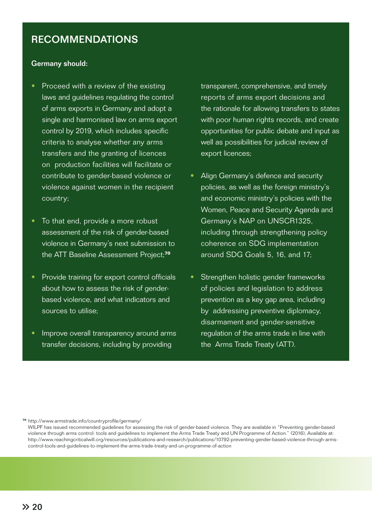# RECOMMENDATIONS

#### Germany should:

- Proceed with a review of the existing laws and guidelines regulating the control of arms exports in Germany and adopt a single and harmonised law on arms export control by 2019, which includes specific criteria to analyse whether any arms transfers and the granting of licences on production facilities will facilitate or contribute to gender-based violence or violence against women in the recipient country;
- To that end, provide a more robust assessment of the risk of gender-based violence in Germany's next submission to the ATT Baseline Assessment Project;**<sup>70</sup>**
- Provide training for export control officials about how to assess the risk of genderbased violence, and what indicators and sources to utilise;
- Improve overall transparency around arms transfer decisions, including by providing

transparent, comprehensive, and timely reports of arms export decisions and the rationale for allowing transfers to states with poor human rights records, and create opportunities for public debate and input as well as possibilities for judicial review of export licences;

- Align Germany's defence and security policies, as well as the foreign ministry's and economic ministry's policies with the Women, Peace and Security Agenda and Germany's NAP on UNSCR1325, including through strengthening policy coherence on SDG implementation around SDG Goals 5, 16, and 17;
- Strengthen holistic gender frameworks of policies and legislation to address prevention as a key gap area, including by addressing preventive diplomacy, disarmament and gender-sensitive regulation of the arms trade in line with the Arms Trade Treaty (ATT).

**<sup>70</sup>**http://www.armstrade.info/countryprofile/germany/

WILPF has issued recommended guidelines for assessing the risk of gender-based violence. They are available in "Preventing gender-based violence through arms control: tools and guidelines to implement the Arms Trade Treaty and UN Programme of Action." (2016), Available at: http://www.reachingcriticalwill.org/resources/publications-and-research/publications/10792-preventing-gender-based-violence-through-arms control-tools-and-guidelines-to-implement-the-arms-trade-treaty-and-un-programme-of-action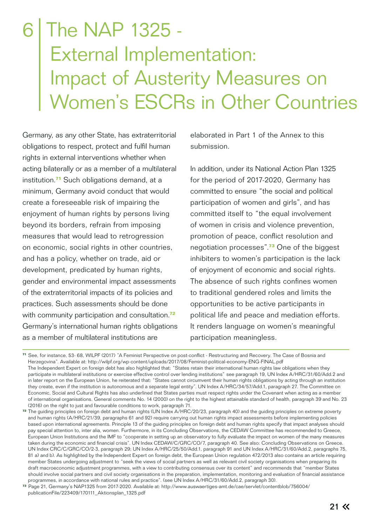# The NAP 1325 - External Implementation: Impact of Austerity Measures on Women's ESCRs in Other Countries

Germany, as any other State, has extraterritorial obligations to respect, protect and fulfil human rights in external interventions whether when acting bilaterally or as a member of a multilateral institution.**<sup>71</sup>** Such obligations demand, at a minimum, Germany avoid conduct that would create a foreseeable risk of impairing the enjoyment of human rights by persons living beyond its borders, refrain from imposing measures that would lead to retrogression on economic, social rights in other countries, and has a policy, whether on trade, aid or development, predicated by human rights, gender and environmental impact assessments of the extraterritorial impacts of its policies and practices. Such assessments should be done with community participation and consultation.**<sup>72</sup>** Germany's international human rights obligations as a member of multilateral institutions are

elaborated in Part 1 of the Annex to this submission.

In addition, under its National Action Plan 1325 for the period of 2017-2020, Germany has committed to ensure "the social and political participation of women and girls", and has committed itself to "the equal involvement of women in crisis and violence prevention, promotion of peace, conflict resolution and negotiation processes".**<sup>73</sup>** One of the biggest inhibiters to women's participation is the lack of enjoyment of economic and social rights. The absence of such rights confines women to traditional gendered roles and limits the opportunities to be active participants in political life and peace and mediation efforts. It renders language on women's meaningful participation meaningless.

**<sup>71</sup>**See, for instance, 53- 68, WILPF (2017) "A Feminist Perspective on post-conflict - Restructuring and Recovery. The Case of Bosnia and Herzegovina". Available at: http://wilpf.org/wp-content/uploads/2017/08/Feminist-political-economy-ENG-FINAL.pdf The Independent Expert on foreign debt has also highlighted that: "States retain their international human rights law obligations when they participate in multilateral institutions or exercise effective control over lending institutions" see paragraph 19, UN Index A/HRC/31/60/Add.2 and in later report on the European Union, he reiterated that: "States cannot circumvent their human rights obligations by acting through an institution they create, even if the institution is autonomous and a separate legal entity". UN Index A/HRC/34/57/Add.1, paragraph 27. The Committee on Economic, Social and Cultural Rights has also underlined that States parties must respect rights under the Covenant when acting as a member of international organisations. General comments No. 14 (2000) on the right to the highest attainable standard of health, paragraph 39 and No. 23 (2016) on the right to just and favourable conditions to work, paragraph 71.

**<sup>72</sup>**The guiding principles on foreign debt and human rights (UN Index A/HRC/20/23, paragraph 40) and the guiding principles on extreme poverty and human rights (A/HRC/21/39, paragraphs 61 and 92) require carrying out human rights impact assessments before implementing policies based upon international agreements. Principle 13 of the guiding principles on foreign debt and human rights specify that impact analyses should pay special attention to, inter alia, women. Furthermore, in its Concluding Observations, the CEDAW Committee has recommended to Greece, European Union Institutions and the IMF to "cooperate in setting up an observatory to fully evaluate the impact on women of the many measures taken during the economic and financial crisis". UN Index CEDAW/C/GRC/CO/7, paragraph 40. See also: Concluding Observations on Greece. UN Index CRC/C/GRC/CO/2-3, paragraph 29; UN Index A/HRC/25/50/Add.1, paragraph 91 and UN Index A/HRC/31/60/Add.2, paragraphs 75, 81 a) and b). As highlighted by the Independent Expert on foreign debt, the European Union regulation 472/2013 also contains an article requiring member States undergoing adjustment to "seek the views of social partners as well as relevant civil society organisations when preparing its draft macroeconomic adjustment programmes, with a view to contributing consensus over its content" and recommends that "member States should involve social partners and civil society organisations in the preparation, implementation, monitoring and evaluation of financial assistance programmes, in accordance with national rules and practice". (see UN Index A/HRC/31/60/Add.2, paragraph 30).

**<sup>73</sup>**Page 21, Germany's NAP1325 from 2017-2020. Available at: http://www.auswaertiges-amt.de/cae/servlet/contentblob/756004/ publicationFile/223409/170111\_Aktionsplan\_1325.pdf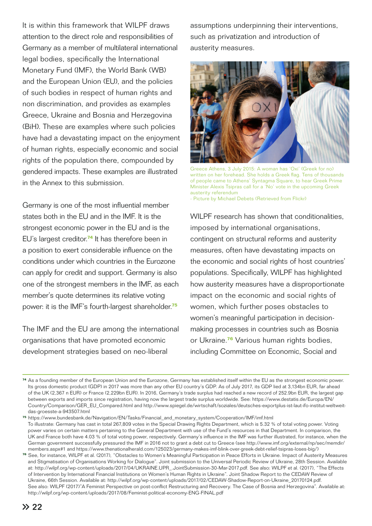It is within this framework that WILPF draws attention to the direct role and responsibilities of Germany as a member of multilateral international legal bodies, specifically the International Monetary Fund (IMF), the World Bank (WB) and the European Union (EU), and the policies of such bodies in respect of human rights and non discrimination, and provides as examples Greece, Ukraine and Bosnia and Herzegovina (BiH). These are examples where such policies have had a devastating impact on the enjoyment of human rights, especially economic and social rights of the population there, compounded by gendered impacts. These examples are illustrated in the Annex to this submission.

Germany is one of the most influential member states both in the EU and in the IMF. It is the strongest economic power in the EU and is the EU's largest creditor.**<sup>74</sup>** It has therefore been in a position to exert considerable influence on the conditions under which countries in the Eurozone can apply for credit and support. Germany is also one of the strongest members in the IMF, as each member's quote determines its relative voting power: it is the IMF's fourth-largest shareholder.**<sup>75</sup>**

The IMF and the EU are among the international organisations that have promoted economic development strategies based on neo-liberal

assumptions underpinning their interventions, such as privatization and introduction of austerity measures.



Greece Athens, 3 July 2015: A woman has 'Oxi' (Greek for no) written on her forehead. She holds a Greek flag. Tens of thousands of people came to Athens' Syntagma Square, to hear Greek Prime Minister Alexis Tsipras call for a 'No' vote in the upcoming Greek austerity referendum

- Picture by Michael Debets (Retrieved from Flickr)

WILPF research has shown that conditionalities. imposed by international organisations, contingent on structural reforms and austerity measures, often have devastating impacts on the economic and social rights of host countries' populations. Specifically, WILPF has highlighted how austerity measures have a disproportionate impact on the economic and social rights of women, which further poses obstacles to women's meaningful participation in decisionmaking processes in countries such as Bosnia or Ukraine.**<sup>76</sup>** Various human rights bodies, including Committee on Economic, Social and

**<sup>74</sup>**As a founding member of the European Union and the Eurozone, Germany has established itself within the EU as the strongest economic power. Its gross domestic product (GDP) in 2017 was more than any other EU country's GDP. As of July 2017, its GDP lied at 3,134bn EUR, far ahead of the UK (2,367 n EUR) or France (2,229bn EUR). In 2016, Germany's trade surplus had reached a new record of 252.9bn EUR, the largest gap between exports and imports since registration, having now the largest trade surplus worldwide. See: https://www.destatis.de/Europa/EN/ Country/Comparison/GER\_EU\_Compared.html and http://www.spiegel.de/wirtschaft/soziales/deutsches-exportplus-ist-laut-ifo-institut-weltweit das-groesste-a-943507.html

**<sup>75</sup>**https://www.bundesbank.de/Navigation/EN/Tasks/Financial\_and\_monetary\_system/Cooperation/IMF/imf.html To illustrate: Germany has cast in total 267,809 votes in the Special Drawing Rights Department, which is 5.32 % of total voting power. Voting power varies on certain matters pertaining to the General Department with use of the Fund's resources in that Department. In comparison, the UK and France both have 4.03 % of total voting power, respectively. Germany's influence in the IMF was further illustrated, for instance, when the German government successfully pressured the IMF in 2016 not to grant a debt cut to Greece (see http://www.imf.org/external/np/sec/memdir/ members.aspx#1 and https://www.thenationalherald.com/125023/germany-makes-imf-blink-over-greek-debt-relief-tsipras-loses-big/)

**<sup>76</sup>**See, for instance, WILPF et al. (2017), "Obstacles to Women's Meaningful Participation in Peace Efforts in Ukraine. Impact of Austerity Measures and Stigmatisation of Organisations Working for Dialogue". Joint submission to the Universal Periodic Review of Ukraine, 28th Session. Available at: http://wilpf.org/wp-content/uploads/2017/04/UKRAINE.UPR\_.JointSubmission-30-Mar-2017.pdf. See also: WILPF et al. (2017), "The Effects of Intervention by International Financial Institutions on Women's Human Rights in Ukraine". Joint Shadow Report to the CEDAW Review of Ukraine, 66th Session. Available at: http://wilpf.org/wp-content/uploads/2017/02/CEDAW-Shadow-Report-on-Ukraine\_20170124.pdf. See also: WILPF (2017)"A Feminist Perspective on post-conflict Restructuring and Recovery. The Case of Bosnia and Herzegovina". Available at: http://wilpf.org/wp-content/uploads/2017/08/Feminist-political-economy-ENG-FINAL.pdf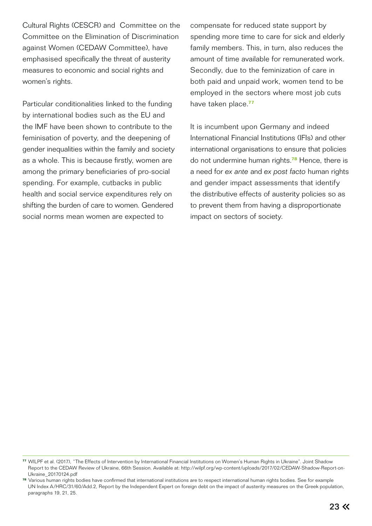Cultural Rights (CESCR) and Committee on the Committee on the Elimination of Discrimination against Women (CEDAW Committee), have emphasised specifically the threat of austerity measures to economic and social rights and women's rights.

Particular conditionalities linked to the funding by international bodies such as the EU and the IMF have been shown to contribute to the feminisation of poverty, and the deepening of gender inequalities within the family and society as a whole. This is because firstly, women are among the primary beneficiaries of pro-social spending. For example, cutbacks in public health and social service expenditures rely on shifting the burden of care to women. Gendered social norms mean women are expected to

compensate for reduced state support by spending more time to care for sick and elderly family members. This, in turn, also reduces the amount of time available for remunerated work. Secondly, due to the feminization of care in both paid and unpaid work, women tend to be employed in the sectors where most job cuts have taken place.**<sup>77</sup>**

It is incumbent upon Germany and indeed International Financial Institutions (IFIs) and other international organisations to ensure that policies do not undermine human rights.**<sup>78</sup>** Hence, there is a need for *ex ante* and *ex post facto* human rights and gender impact assessments that identify the distributive effects of austerity policies so as to prevent them from having a disproportionate impact on sectors of society.

**<sup>77</sup>**WILPF et al. (2017), "The Effects of Intervention by International Financial Institutions on Women's Human Rights in Ukraine". Joint Shadow Report to the CEDAW Review of Ukraine, 66th Session. Available at: http://wilpf.org/wp-content/uploads/2017/02/CEDAW-Shadow-Report-on- Ukraine\_20170124.pdf

**<sup>78</sup>**Various human rights bodies have confirmed that international institutions are to respect international human rights bodies. See for example UN Index A/HRC/31/60/Add.2, Report by the Independent Expert on foreign debt on the impact of austerity measures on the Greek population, paragraphs 19, 21, 25.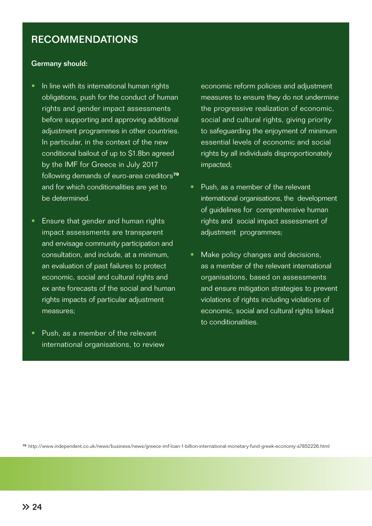# RECOMMENDATIONS

#### Germany should:

- In line with its international human rights obligations, push for the conduct of human rights and gender impact assessments before supporting and approving additional adjustment programmes in other countries. In particular, in the context of the new conditional bailout of up to \$1.8bn agreed by the IMF for Greece in July 2017 following demands of euro-area creditors**<sup>79</sup>** and for which conditionalities are yet to be determined.
- Ensure that gender and human rights impact assessments are transparent and envisage community participation and consultation, and include, at a minimum, an evaluation of past failures to protect economic, social and cultural rights and ex ante forecasts of the social and human rights impacts of particular adjustment measures;
- Push, as a member of the relevant international organisations, to review

economic reform policies and adjustment measures to ensure they do not undermine the progressive realization of economic, social and cultural rights, giving priority to safeguarding the enjoyment of minimum essential levels of economic and social rights by all individuals disproportionately impacted;

- Push, as a member of the relevant international organisations, the development of guidelines for comprehensive human rights and social impact assessment of adjustment programmes;
- Make policy changes and decisions, as a member of the relevant international organisations, based on assessments and ensure mitigation strategies to prevent violations of rights including violations of economic, social and cultural rights linked to conditionalities.

**<sup>79</sup>**http://www.independent.co.uk/news/business/news/greece-imf-loan-1-billion-international-monetary-fund-greek-economy-a7852226.html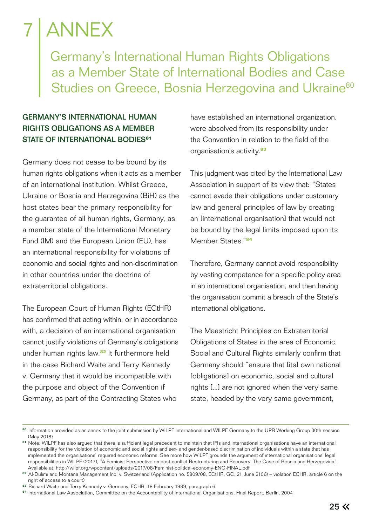# **ANNEX**

 Germany's International Human Rights Obligations as a Member State of International Bodies and Case Studies on Greece, Bosnia Herzegovina and Ukraine<sup>80</sup>

### GERMANY'S INTERNATIONAL HUMAN RIGHTS OBLIGATIONS AS A MEMBER STATE OF INTERNATIONAL BODIES**<sup>81</sup>**

Germany does not cease to be bound by its human rights obligations when it acts as a member of an international institution. Whilst Greece, Ukraine or Bosnia and Herzegovina (BiH) as the host states bear the primary responsibility for the guarantee of all human rights, Germany, as a member state of the International Monetary Fund (IM) and the European Union (EU), has an international responsibility for violations of economic and social rights and non-discrimination in other countries under the doctrine of extraterritorial obligations.

The European Court of Human Rights (ECtHR) has confirmed that acting within, or in accordance with, a decision of an international organisation cannot justify violations of Germany's obligations under human rights law.**<sup>82</sup>** It furthermore held in the case Richard Waite and Terry Kennedy v. Germany that it would be incompatible with the purpose and object of the Convention if Germany, as part of the Contracting States who

have established an international organization, were absolved from its responsibility under the Convention in relation to the field of the organisation's activity.**<sup>83</sup>**

This judgment was cited by the International Law Association in support of its view that: "States cannot evade their obligations under customary law and general principles of law by creating an [international organisation] that would not be bound by the legal limits imposed upon its Member States."**<sup>84</sup>**

Therefore, Germany cannot avoid responsibility by vesting competence for a specific policy area in an international organisation, and then having the organisation commit a breach of the State's international obligations.

The Maastricht Principles on Extraterritorial Obligations of States in the area of Economic, Social and Cultural Rights similarly confirm that Germany should "ensure that [its] own national [obligations] on economic, social and cultural rights [...] are not ignored when the very same state, headed by the very same government,

**<sup>80</sup>**Information provided as an annex to the joint submission by WILPF International and WILPF Germany to the UPR Working Group 30th session (May 2018)

**<sup>81</sup>**Note: WILPF has also argued that there is sufficient legal precedent to maintain that IFIs and international organisations have an international responsibility for the violation of economic and social rights and sex- and gender-based discrimination of individuals within a state that has implemented the organisations' required economic reforms. See more how WILPF grounds the argument of international organisations' legal responsibilities in WILPF (2017), "A Feminist Perspective on post-conflict Restructuring and Recovery. The Case of Bosnia and Herzegovina". Available at: http://wilpf.org/wpcontent/uploads/2017/08/Feminist-political-economy-ENG-FINAL.pdf

**<sup>82</sup>**Al-Dulimi and Montana Management Inc. v. Switzerland (Application no. 5809/08, ECtHR, GC, 21 June 2106) – violation ECHR, article 6 on the right of access to a court)

**<sup>83</sup>**Richard Waite and Terry Kennedy v. Germany, ECHR, 18 February 1999, paragraph 6

**<sup>84</sup>**International Law Association, Committee on the Accountability of International Organisations, Final Report, Berlin, 2004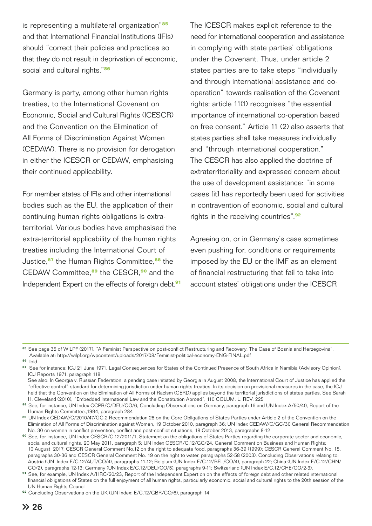is representing a multilateral organization"**<sup>85</sup>** and that International Financial Institutions (IFIs) should "correct their policies and practices so that they do not result in deprivation of economic, social and cultural rights."**<sup>86</sup>**

Germany is party, among other human rights treaties, to the International Covenant on Economic, Social and Cultural Rights (ICESCR) and the Convention on the Elimination of All Forms of Discrimination Against Women (CEDAW). There is no provision for derogation in either the ICESCR or CEDAW, emphasising their continued applicability.

For member states of IFIs and other international bodies such as the EU, the application of their continuing human rights obligations is extraterritorial. Various bodies have emphasised the extra-territorial applicability of the human rights treaties including the International Court of Justice,**<sup>87</sup>** the Human Rights Committee,**<sup>88</sup>** the CEDAW Committee,**<sup>89</sup>** the CESCR,**<sup>90</sup>** and the Independent Expert on the effects of foreign debt.**<sup>91</sup>** The ICESCR makes explicit reference to the need for international cooperation and assistance in complying with state parties' obligations under the Covenant. Thus, under article 2 states parties are to take steps "individually and through international assistance and cooperation" towards realisation of the Covenant rights; article 11(1) recognises "the essential importance of international co-operation based on free consent." Article 11 (2) also asserts that states parties shall take measures individually and "through international cooperation." The CESCR has also applied the doctrine of extraterritoriality and expressed concern about the use of development assistance: "in some cases [it] has reportedly been used for activities in contravention of economic, social and cultural rights in the receiving countries".**<sup>92</sup>**

Agreeing on, or in Germany's case sometimes even pushing for, conditions or requirements imposed by the EU or the IMF as an element of financial restructuring that fail to take into account states' obligations under the ICESCR

**<sup>85</sup>**See page 35 of WILPF (2017), "A Feminist Perspective on post-conflict Restructuring and Recovery. The Case of Bosnia and Herzegovina". Available at: http://wilpf.org/wpcontent/uploads/2017/08/Feminist-political-economy-ENG-FINAL.pdf

**<sup>86</sup>**Ibid

**<sup>87</sup>**See for instance: ICJ 21 June 1971, Legal Consequences for States of the Continued Presence of South Africa in Namibia (Advisory Opinion), ICJ Reports 1971, paragraph 118

See also: In Georgia v. Russian Federation, a pending case initiated by Georgia in August 2008, the International Court of Justice has applied the "effective control" standard for determining jurisdiction under human rights treaties. In its decision on provisional measures in the case, the ICJ held that the Convention on the Elimination of All Forms of Racism (CERD) applies beyond the territorial jurisdictions of states parties. See Sarah H. Cleveland (2010), "Embedded International Law and the Constitution Abroad", 110 COLUM. L. REV. 225

**<sup>88</sup>**See, for instance, UN Index CCPR/C/DEU/CO/6, Concluding Observations on Germany, paragraph 16 and UN Index A/50/40, Report of the Human Rights Committee.,1994, paragraph 284

**<sup>89</sup>**UN Index CEDAW/C/2010/47/GC.2 Recommendation 28 on the Core Obligations of States Parties under Article 2 of the Convention on the Elimination of All Forms of Discrimination against Women, 19 October 2010, paragraph 36; UN Index CEDAW/C/GC/30 General Recommendation No. 30 on women in conflict prevention, conflict and post-conflict situations, 18 October 2013, paragraphs 8-12

**<sup>90</sup>**See, for instance, UN Index CESCR/C.12/2011/1, Statement on the obligations of States Parties regarding the corporate sector and economic, social and cultural rights, 20 May 2011, paragraph 5; UN Index CESCR/C.12/GC/24, General Comment on Business and Human Rights; 10 August 2017; CESCR General Comment No.12 on the right to adequate food, paragraphs 36-39 (1999); CESCR General Comment No. 15, paragraphs 30-36 and CESCR General Comment No. 19 on the right to water, paragraphs 52-58 (2003). Concluding Observations relating to: Austria (UN Index E/C.12/AUT/CO/4), paragraphs 11-12; Belgium (UN Index E/C.12/BEL/CO/4), paragraph 22; China (UN Index E/C.12/CHN/ CO/2), paragraphs 12-13; Germany (UN Index E/C.12/DEU/CO/5), paragraphs 9-11; Switzerland (UN Index E/C.12/CHE/CO/2-3).

**<sup>91</sup>**See, for example, UN Index A/HRC/20/23, Report of the Independent Expert on on the effects of foreign debt and other related international financial obligations of States on the full enjoyment of all human rights, particularly economic, social and cultural rights to the 20th session of the UN Human Rights Council

**<sup>92</sup>**Concluding Observations on the UK (UN Index: E/C.12/GBR/CO/6), paragraph 14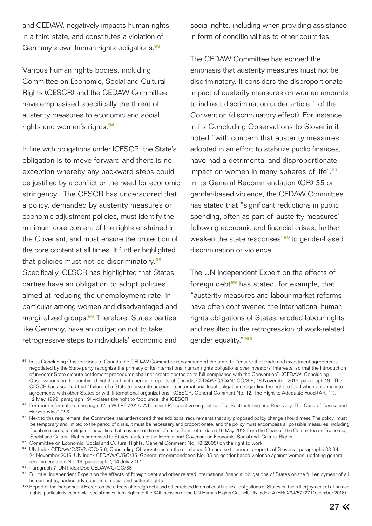and CEDAW, negatively impacts human rights in a third state, and constitutes a violation of Germany's own human rights obligations.**<sup>93</sup>**

Various human rights bodies, including Committee on Economic, Social and Cultural Rights (CESCR) and the CEDAW Committee, have emphasised specifically the threat of austerity measures to economic and social rights and women's rights.**<sup>94</sup>**

In line with obligations under ICESCR, the State's obligation is to move forward and there is no exception whereby any backward steps could be justified by a conflict or the need for economic stringency. The CESCR has underscored that a policy, demanded by austerity measures or economic adjustment policies, must identify the minimum core content of the rights enshrined in the Covenant, and must ensure the protection of the core content at all times. It further highlighted that policies must not be discriminatory.**<sup>95</sup>** Specifically, CESCR has highlighted that States parties have an obligation to adopt policies aimed at reducing the unemployment rate, in particular among women and disadvantaged and marginalized groups.**<sup>96</sup>** Therefore, States parties, like Germany, have an obligation not to take retrogressive steps to individuals' economic and

social rights, including when providing assistance in form of conditionalities to other countries.

The CEDAW Committee has echoed the emphasis that austerity measures must not be discriminatory. It considers the disproportionate impact of austerity measures on women amounts to indirect discrimination under article 1 of the Convention (discriminatory effect). For instance, in its Concluding Observations to Slovenia it noted "with concern that austerity measures, adopted in an effort to stabilize public finances, have had a detrimental and disproportionate impact on women in many spheres of life".**<sup>97</sup>** In its General Recommendation (GR) 35 on gender-based violence, the CEDAW Committee has stated that "significant reductions in public spending, often as part of 'austerity measures' following economic and financial crises, further weaken the state responses"**<sup>98</sup>**to gender-based discrimination or violence.

The UN Independent Expert on the effects of foreign debt**<sup>99</sup>** has stated, for example, that "austerity measures and labour market reforms have often contravened the international human rights obligations of States, eroded labour rights and resulted in the retrogression of work-related gender equality."**<sup>100</sup>**

**<sup>96</sup>**Committee on Economic, Social and Cultural Rights, General Comment No. 18 (2005) on the right to work.

**<sup>93</sup>**In its Concluding Observations to Canada the CEDAW Committee recommended the state to "ensure that trade and investment agreements negotiated by the State party recognize the primacy of its international human rights obligations over investors' interests, so that the introduction of investor-State dispute settlement procedures shall not create obstacles to full compliance with the Convention". (CEDAW, Concluding Observations on the combined eighth and ninth periodic reports of Canada, CEDAW/C/CAN/ CO/8-9, 18 November 2016, paragraph 19). The CESCR has asserted that "failure of a State to take into account its international legal obligations regarding the right to food when entering into agreements with other States or with international organizations" (CESCR, General Comment No. 12, The Right to Adequate Food (Art. 11), 12 May 1999, paragraph 19) violates the right to food under the ICESCR.

**<sup>94</sup>**For more information, see page 32 in WILPF (2017)"A Feminist Perspective on post-conflict Restructuring and Recovery. The Case of Bosnia and Herzegovina"./2-3)

<sup>95</sup> Next to this requirement, the Committee has underscored three additional requirements that any proposed policy change should meet: The policy must be temporary and limited to the period of crisis; it must be necessary and proportionate; and the policy must encompass all possible measures, including fiscal measures, to mitigate inequalities that may arise in times of crisis. See: Letter dated 16 May 2012 from the Chair of the Committee on Economic, Social and Cultural Rights addressed to States parties to the International Covenant on Economic, Social and Cultural Rights.

**<sup>97</sup>**UN Index CEDAW/C/SVN/CO/5-6, Concluding Observations on the combined fifth and sixth periodic reports of Slovenia, paragraphs 33-34, 24 November 2015; UN Index CEDAW/C/GC/35, General recommendation No. 35 on gender-based violence against women, updating general recommendation No. 19, paragraph 7, 14 July 2017

**<sup>98</sup>** Paragraph 7, UN Index Doc CEDAW/C/GC/35

Full title: Independent Expert on the effects of foreign debt and other related international financial obligations of States on the full enjoyment of all human rights, particularly economic, social and cultural rights

**<sup>100</sup>**Report of the Independent Expert on the effects of foreign debt and other related international financial obligations of States on the full enjoyment of all human rights, particularly economic, social and cultural rights to the 34th session of the UN Human Rights Council, UN index: A/HRC/34/57 (27 December 2016)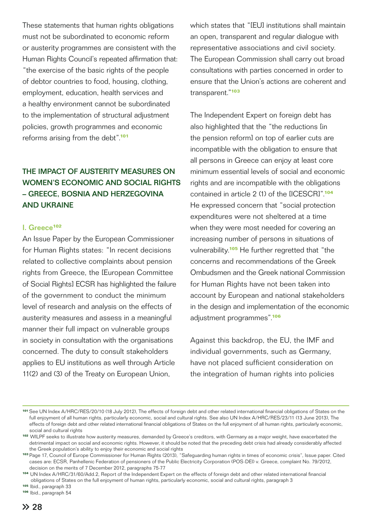These statements that human rights obligations must not be subordinated to economic reform or austerity programmes are consistent with the Human Rights Council's repeated affirmation that: "the exercise of the basic rights of the people of debtor countries to food, housing, clothing, employment, education, health services and a healthy environment cannot be subordinated to the implementation of structural adjustment policies, growth programmes and economic reforms arising from the debt".**<sup>101</sup>**

## THE IMPACT OF AUSTERITY MEASURES ON WOMEN'S ECONOMIC AND SOCIAL RIGHTS – GREECE, BOSNIA AND HERZEGOVINA AND UKRAINE

#### I. Greece**<sup>102</sup>**

An Issue Paper by the European Commissioner for Human Rights states: "In recent decisions related to collective complaints about pension rights from Greece, the [European Committee of Social Rights] ECSR has highlighted the failure of the government to conduct the minimum level of research and analysis on the effects of austerity measures and assess in a meaningful manner their full impact on vulnerable groups in society in consultation with the organisations concerned. The duty to consult stakeholders applies to EU institutions as well through Article 11(2) and (3) of the Treaty on European Union,

which states that "[EU] institutions shall maintain an open, transparent and regular dialogue with representative associations and civil society. The European Commission shall carry out broad consultations with parties concerned in order to ensure that the Union's actions are coherent and transparent."**<sup>103</sup>**

The Independent Expert on foreign debt has also highlighted that the "the reductions [in the pension reform] on top of earlier cuts are incompatible with the obligation to ensure that all persons in Greece can enjoy at least core minimum essential levels of social and economic rights and are incompatible with the obligations contained in article 2 (1) of the [ICESCR]".**<sup>104</sup>** He expressed concern that "social protection expenditures were not sheltered at a time when they were most needed for covering an increasing number of persons in situations of vulnerability.**<sup>105</sup>** He further regretted that "the concerns and recommendations of the Greek Ombudsmen and the Greek national Commission for Human Rights have not been taken into account by European and national stakeholders in the design and implementation of the economic adjustment programmes".**<sup>106</sup>**

Against this backdrop, the EU, the IMF and individual governments, such as Germany, have not placed sufficient consideration on the integration of human rights into policies

**<sup>101</sup>**See UN Index A/HRC/RES/20/10 (18 July 2012), The effects of foreign debt and other related international financial obligations of States on the full enjoyment of all human rights, particularly economic, social and cultural rights. See also UN Index A/HRC/RES/23/11 (13 June 2013), The effects of foreign debt and other related international financial obligations of States on the full enjoyment of all human rights, particularly economic, social and cultural rights

**<sup>102</sup>**WILPF seeks to illustrate how austerity measures, demanded by Greece's creditors, with Germany as a major weight, have exacerbated the detrimental impact on social and economic rights. However, it should be noted that the preceding debt crisis had already considerably affected the Greek population's ability to enjoy their economic and social rights

**<sup>103</sup>**Page 17, Council of Europe Commissioner for Human Rights (2013), "Safeguarding human rights in times of economic crisis", Issue paper. Cited cases are: ECSR, Panhellenic Federation of pensioners of the Public Electricity Corporation (POS-DEI) v. Greece, complaint No. 79/2012, decision on the merits of 7 December 2012, paragraphs 75-77

**<sup>104</sup>**UN Index A/HRC/31/60/Add.2, Report of the Independent Expert on the effects of foreign debt and other related international financial obligations of States on the full enjoyment of human rights, particularly economic, social and cultural rights, paragraph 3

**<sup>105</sup>**Ibid., paragraph 33

<sup>106</sup> Ibid., paragraph 54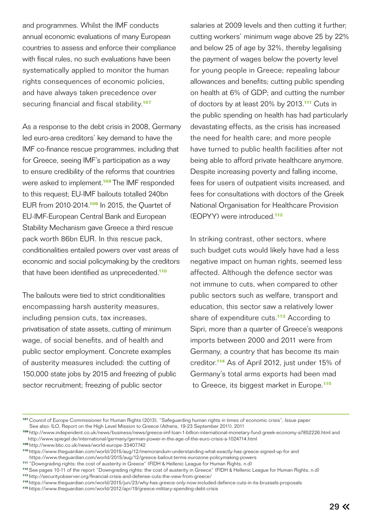and programmes. Whilst the IMF conducts annual economic evaluations of many European countries to assess and enforce their compliance with fiscal rules, no such evaluations have been systematically applied to monitor the human rights consequences of economic policies, and have always taken precedence over securing financial and fiscal stability.**<sup>107</sup>**

As a response to the debt crisis in 2008, Germany led euro-area creditors' key demand to have the IMF co-finance rescue programmes, including that for Greece, seeing IMF's participation as a way to ensure credibility of the reforms that countries were asked to implement.**<sup>108</sup>**The IMF responded to this request; EU-IMF bailouts totalled 240bn EUR from 2010-2014.**<sup>109</sup>** In 2015, the Quartet of EU-IMF-European Central Bank and European Stability Mechanism gave Greece a third rescue pack worth 86bn EUR. In this rescue pack, conditionalities entailed powers over vast areas of economic and social policymaking by the creditors that have been identified as unprecedented.**<sup>110</sup>**

The bailouts were tied to strict conditionalities encompassing harsh austerity measures, including pension cuts, tax increases, privatisation of state assets, cutting of minimum wage, of social benefits, and of health and public sector employment. Concrete examples of austerity measures included: the cutting of 150,000 state jobs by 2015 and freezing of public sector recruitment; freezing of public sector

salaries at 2009 levels and then cutting it further; cutting workers' minimum wage above 25 by 22% and below 25 of age by 32%, thereby legalising the payment of wages below the poverty level for young people in Greece; repealing labour allowances and benefits; cutting public spending on health at 6% of GDP; and cutting the number of doctors by at least 20% by 2013.**<sup>111</sup>** Cuts in the public spending on health has had particularly devastating effects, as the crisis has increased the need for health care; and more people have turned to public health facilities after not being able to afford private healthcare anymore. Despite increasing poverty and falling income, fees for users of outpatient visits increased, and fees for consultations with doctors of the Greek National Organisation for Healthcare Provision (EOPYY) were introduced.**<sup>112</sup>**

In striking contrast, other sectors, where such budget cuts would likely have had a less negative impact on human rights, seemed less affected. Although the defence sector was not immune to cuts, when compared to other public sectors such as welfare, transport and education, this sector saw a relatively lower share of expenditure cuts.**<sup>113</sup>** According to Sipri, more than a quarter of Greece's weapons imports between 2000 and 2011 were from Germany, a country that has become its main creditor.**<sup>114</sup>** As of April 2012, just under 15% of Germany's total arms exports had been mad to Greece, its biggest market in Europe.**<sup>115</sup>**

**<sup>107</sup>**Council of Europe Commissioner for Human Rights (2013), "Safeguarding human rights in times of economic crisis", Issue paper See also: ILO, Report on the High Level Mission to Greece (Athens, 19-23 September 2011), 2011

**<sup>108</sup>**http://www.independent.co.uk/news/business/news/greece-imf-loan-1-billion-international-monetary-fund-greek-economy-a7852226.html and http://www.spiegel.de/international/germany/german-power-in-the-age-of-the-euro-crisis-a-1024714.html

**<sup>109</sup>**http://www.bbc.co.uk/news/world-europe-33407742

**<sup>110</sup>**https://www.theguardian.com/world/2015/aug/12/memorandum-understanding-what-exactly-has-greece-signed-up-for and https://www.theguardian.com/world/2015/aug/12/greece-bailout-terms-eurozone-policymaking-powers

**<sup>111</sup>**"Downgrading rights: the cost of austerity in Greece" (FIDH & Hellenic League for Human Rights, n.d)

**<sup>112</sup>**See pages 10-11 of the report "Downgrading rights: the cost of austerity in Greece" (FIDH & Hellenic League for Human Rights, n.d) **<sup>113</sup>**http://securityobserver.org/financial-crisis-and-defense-cuts-the-view-from-greece/

**<sup>114</sup>**https://www.theguardian.com/world/2015/jun/23/why-has-greece-only-now-included-defence-cuts-in-its-brussels-proposals

**<sup>115</sup>**https://www.theguardian.com/world/2012/apr/19/greece-military-spending-debt-crisis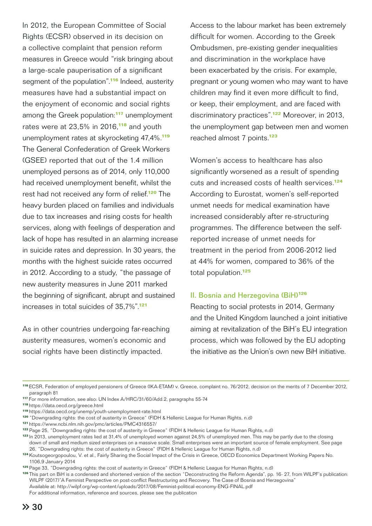In 2012, the European Committee of Social Rights (ECSR) observed in its decision on a collective complaint that pension reform measures in Greece would "risk bringing about a large-scale pauperisation of a significant segment of the population".**<sup>116</sup>** Indeed, austerity measures have had a substantial impact on the enjoyment of economic and social rights among the Greek population:**<sup>117</sup>** unemployment rates were at 23,5% in 2016,**<sup>118</sup>** and youth unemployment rates at skyrocketing 47,4%.**<sup>119</sup>** The General Confederation of Greek Workers (GSEE) reported that out of the 1.4 million unemployed persons as of 2014, only 110,000 had received unemployment benefit, whilst the rest had not received any form of relief.**<sup>120</sup>** The heavy burden placed on families and individuals due to tax increases and rising costs for health services, along with feelings of desperation and lack of hope has resulted in an alarming increase in suicide rates and depression. In 30 years, the months with the highest suicide rates occurred in 2012. According to a study, "the passage of new austerity measures in June 2011 marked the beginning of significant, abrupt and sustained increases in total suicides of 35,7%".**<sup>121</sup>**

As in other countries undergoing far-reaching austerity measures, women's economic and social rights have been distinctly impacted.

Access to the labour market has been extremely difficult for women. According to the Greek Ombudsmen, pre-existing gender inequalities and discrimination in the workplace have been exacerbated by the crisis. For example, pregnant or young women who may want to have children may find it even more difficult to find, or keep, their employment, and are faced with discriminatory practices".**<sup>122</sup>** Moreover, in 2013, the unemployment gap between men and women reached almost 7 points.**<sup>123</sup>**

Women's access to healthcare has also significantly worsened as a result of spending cuts and increased costs of health services.**<sup>124</sup>** According to Eurostat, women's self-reported unmet needs for medical examination have increased considerably after re-structuring programmes. The difference between the selfreported increase of unmet needs for treatment in the period from 2006-2012 lied at 44% for women, compared to 36% of the total population.**<sup>125</sup>**

### II. Bosnia and Herzegovina (BiH)**<sup>126</sup>**

Reacting to social protests in 2014, Germany and the United Kingdom launched a joint initiative aiming at revitalization of the BiH's EU integration process, which was followed by the EU adopting the initiative as the Union's own new BiH initiative.

**<sup>116</sup>**ECSR, Federation of employed pensioners of Greece (IKA-ETAM) v. Greece, complaint no. 76/2012, decision on the merits of 7 December 2012, paragraph 81

**<sup>117</sup>**For more information, see also: UN Index A/HRC/31/60/Add.2, paragraphs 55-74

**<sup>118</sup>**https://data.oecd.org/greece.html

**<sup>119</sup>**https://data.oecd.org/unemp/youth-unemployment-rate.html

**<sup>120</sup>**"Downgrading rights: the cost of austerity in Greece" (FIDH & Hellenic League for Human Rights, n.d)

**<sup>121</sup>**https://www.ncbi.nlm.nih.gov/pmc/articles/PMC4316557/

**<sup>122</sup>**Page 25, "Downgrading rights: the cost of austerity in Greece" (FIDH & Hellenic League for Human Rights, n.d)

**<sup>123</sup>**In 2013, unemployment rates lied at 31,4% of unemployed women against 24,5% of unemployed men. This may be partly due to the closing down of small and medium sized enterprises on a massive scale. Small enterprises were an important source of female employment. See page 26, "Downgrading rights: the cost of austerity in Greece" (FIDH & Hellenic League for Human Rights, n.d)

**<sup>124</sup>**Koutsogeorgopoulou, V. et al., Fairly Sharing the Social Impact of the Crisis in Greece, OECD Economics Department Working Papers No. 1106,9 January 2014

**<sup>125</sup>**Page 33, "Downgrading rights: the cost of austerity in Greece" (FIDH & Hellenic League for Human Rights, n.d)

**<sup>126</sup>**This part on BiH is a condensed and shortened version of the section "Deconstructing the Reform Agenda", pp. 16- 27, from WILPF's publication: WILPF (2017)"A Feminist Perspective on post-conflict Restructuring and Recovery. The Case of Bosnia and Herzegovina" Available at: http://wilpf.org/wp-content/uploads/2017/08/Feminist-political-economy-ENG-FINAL.pdf

For additional information, reference and sources, please see the publication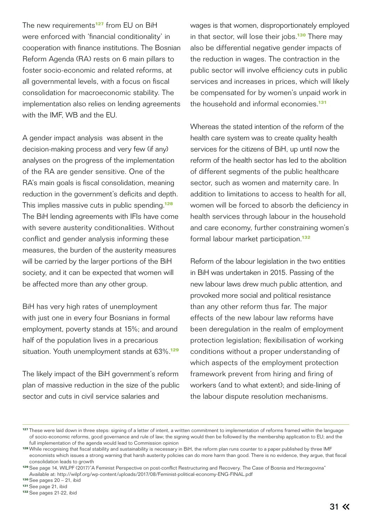The new requirements**<sup>127</sup>** from EU on BiH were enforced with 'financial conditionality' in cooperation with finance institutions. The Bosnian Reform Agenda (RA) rests on 6 main pillars to foster socio-economic and related reforms, at all governmental levels, with a focus on fiscal consolidation for macroeconomic stability. The implementation also relies on lending agreements with the IMF, WB and the EU.

A gender impact analysis was absent in the decision-making process and very few (if any) analyses on the progress of the implementation of the RA are gender sensitive. One of the RA's main goals is fiscal consolidation, meaning reduction in the government's deficits and depth. This implies massive cuts in public spending.**<sup>128</sup>** The BiH lending agreements with IFIs have come with severe austerity conditionalities. Without conflict and gender analysis informing these measures, the burden of the austerity measures will be carried by the larger portions of the BiH society, and it can be expected that women will be affected more than any other group.

BiH has very high rates of unemployment with just one in every four Bosnians in formal employment, poverty stands at 15%; and around half of the population lives in a precarious situation. Youth unemployment stands at 63%.**<sup>129</sup>**

The likely impact of the BiH government's reform plan of massive reduction in the size of the public sector and cuts in civil service salaries and

wages is that women, disproportionately employed in that sector, will lose their jobs.**<sup>130</sup>** There may also be differential negative gender impacts of the reduction in wages. The contraction in the public sector will involve efficiency cuts in public services and increases in prices, which will likely be compensated for by women's unpaid work in the household and informal economies.**<sup>131</sup>**

Whereas the stated intention of the reform of the health care system was to create quality health services for the citizens of BiH, up until now the reform of the health sector has led to the abolition of different segments of the public healthcare sector, such as women and maternity care. In addition to limitations to access to health for all, women will be forced to absorb the deficiency in health services through labour in the household and care economy, further constraining women's formal labour market participation.**<sup>132</sup>**

Reform of the labour legislation in the two entities in BiH was undertaken in 2015. Passing of the new labour laws drew much public attention, and provoked more social and political resistance than any other reform thus far. The major effects of the new labour law reforms have been deregulation in the realm of employment protection legislation; flexibilisation of working conditions without a proper understanding of which aspects of the employment protection framework prevent from hiring and firing of workers (and to what extent); and side-lining of the labour dispute resolution mechanisms.

**<sup>127</sup>**These were laid down in three steps: signing of a letter of intent, a written commitment to implementation of reforms framed within the language of socio-economic reforms, good governance and rule of law; the signing would then be followed by the membership application to EU; and the full implementation of the agenda would lead to Commission opinion

**<sup>128</sup>**While recognising that fiscal stability and sustainability is necessary in BiH, the reform plan runs counter to a paper published by three IMF economists which issues a strong warning that harsh austerity policies can do more harm than good. There is no evidence, they argue, that fiscal consolidation leads to growth

**<sup>129</sup>**See page 14, WILPF (2017)"A Feminist Perspective on post-conflict Restructuring and Recovery. The Case of Bosnia and Herzegovina" Available at: http://wilpf.org/wp-content/uploads/2017/08/Feminist-political-economy-ENG-FINAL.pdf

**<sup>130</sup>**See pages 20 – 21, ibid

**<sup>131</sup>**See page 21, ibid

**<sup>132</sup>**See pages 21-22, ibid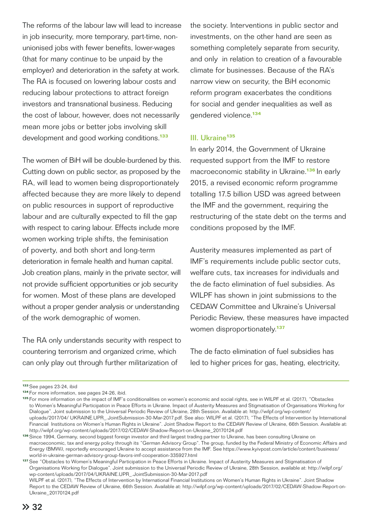The reforms of the labour law will lead to increase in job insecurity, more temporary, part-time, nonunionised jobs with fewer benefits, lower-wages (that for many continue to be unpaid by the employer) and deterioration in the safety at work. The RA is focused on lowering labour costs and reducing labour protections to attract foreign investors and transnational business. Reducing the cost of labour, however, does not necessarily mean more jobs or better jobs involving skill development and good working conditions.**<sup>133</sup>**

The women of BiH will be double-burdened by this. Cutting down on public sector, as proposed by the RA, will lead to women being disproportionately affected because they are more likely to depend on public resources in support of reproductive labour and are culturally expected to fill the gap with respect to caring labour. Effects include more women working triple shifts, the feminisation of poverty, and both short and long-term deterioration in female health and human capital. Job creation plans, mainly in the private sector, will not provide sufficient opportunities or job security for women. Most of these plans are developed without a proper gender analysis or understanding of the work demographic of women.

The RA only understands security with respect to countering terrorism and organized crime, which can only play out through further militarization of

the society. Interventions in public sector and investments, on the other hand are seen as something completely separate from security, and only in relation to creation of a favourable climate for businesses. Because of the RA's narrow view on security, the BiH economic reform program exacerbates the conditions for social and gender inequalities as well as gendered violence.**<sup>134</sup>**

### III. Ukraine**<sup>135</sup>**

In early 2014, the Government of Ukraine requested support from the IMF to restore macroeconomic stability in Ukraine.**<sup>136</sup>**In early 2015, a revised economic reform programme totalling 17.5 billion USD was agreed between the IMF and the government, requiring the restructuring of the state debt on the terms and conditions proposed by the IMF.

Austerity measures implemented as part of IMF's requirements include public sector cuts, welfare cuts, tax increases for individuals and the de facto elimination of fuel subsidies. As WILPF has shown in joint submissions to the CEDAW Committee and Ukraine's Universal Periodic Review, these measures have impacted women disproportionately.**<sup>137</sup>**

The de facto elimination of fuel subsidies has led to higher prices for gas, heating, electricity,

**<sup>133</sup>** See pages 23-24, ibid

**<sup>134</sup>**For more information, see pages 24-26, ibid.

**<sup>135</sup>**For more information on the impact of IMF's conditionalities on women's economic and social rights, see in WILPF et al. (2017), "Obstacles to Women's Meaningful Participation in Peace Efforts in Ukraine. Impact of Austerity Measures and Stigmatisation of Organisations Working for Dialogue". Joint submission to the Universal Periodic Review of Ukraine, 28th Session. Available at: http://wilpf.org/wp-content/ uploads/2017/04/ UKRAINE.UPR\_.JointSubmission-30-Mar-2017.pdf. See also: WILPF et al. (2017), "The Effects of Intervention by International Financial Institutions on Women's Human Rights in Ukraine". Joint Shadow Report to the CEDAW Review of Ukraine, 66th Session. Available at: http://wilpf.org/wp-content/uploads/2017/02/CEDAW-Shadow-Report-on-Ukraine\_20170124.pdf

**<sup>136</sup>**Since 1994, Germany, second biggest foreign investor and third largest trading partner to Ukraine, has been consulting Ukraine on macroeconomic, tax and energy policy through its "German Advisory Group". The group, funded by the Federal Ministry of Economic Affairs and Energy (BMWi), reportedly encouraged Ukraine to accept assistance from the IMF. See https://www.kyivpost.com/article/content/business/ world-in-ukraine-german-advisory-group-favors-imf-cooperation-335927.html

**<sup>137</sup>**See "Obstacles to Women's Meaningful Participation in Peace Efforts in Ukraine. Impact of Austerity Measures and Stigmatisation of Organisations Working for Dialogue". Joint submission to the Universal Periodic Review of Ukraine, 28th Session, available at: http://wilpf.org/ wp-content/uploads/2017/04/UKRAINE.UPR\_.JointSubmission-30-Mar-2017.pdf WILPF et al. (2017), "The Effects of Intervention by International Financial Institutions on Women's Human Rights in Ukraine". Joint Shadow

Report to the CEDAW Review of Ukraine, 66th Session. Available at: http://wilpf.org/wp-content/uploads/2017/02/CEDAW-Shadow-Report-on- Ukraine\_20170124.pdf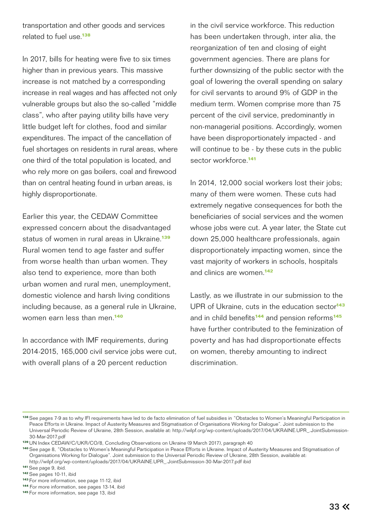transportation and other goods and services related to fuel use.**<sup>138</sup>**

In 2017, bills for heating were five to six times higher than in previous years. This massive increase is not matched by a corresponding increase in real wages and has affected not only vulnerable groups but also the so-called "middle class", who after paying utility bills have very little budget left for clothes, food and similar expenditures. The impact of the cancellation of fuel shortages on residents in rural areas, where one third of the total population is located, and who rely more on gas boilers, coal and firewood than on central heating found in urban areas, is highly disproportionate.

Earlier this year, the CEDAW Committee expressed concern about the disadvantaged status of women in rural areas in Ukraine.**<sup>139</sup>** Rural women tend to age faster and suffer from worse health than urban women. They also tend to experience, more than both urban women and rural men, unemployment, domestic violence and harsh living conditions including because, as a general rule in Ukraine, women earn less than men.**<sup>140</sup>**

In accordance with IMF requirements, during 2014-2015, 165,000 civil service jobs were cut, with overall plans of a 20 percent reduction

in the civil service workforce. This reduction has been undertaken through, inter alia, the reorganization of ten and closing of eight government agencies. There are plans for further downsizing of the public sector with the goal of lowering the overall spending on salary for civil servants to around 9% of GDP in the medium term. Women comprise more than 75 percent of the civil service, predominantly in non-managerial positions. Accordingly, women have been disproportionately impacted - and will continue to be - by these cuts in the public sector workforce.**<sup>141</sup>**

In 2014, 12,000 social workers lost their jobs; many of them were women. These cuts had extremely negative consequences for both the beneficiaries of social services and the women whose jobs were cut. A year later, the State cut down 25,000 healthcare professionals, again disproportionately impacting women, since the vast majority of workers in schools, hospitals and clinics are women.**<sup>142</sup>**

Lastly, as we illustrate in our submission to the UPR of Ukraine, cuts in the education sector**<sup>143</sup>** and in child benefits**<sup>144</sup>** and pension reforms**<sup>145</sup>** have further contributed to the feminization of poverty and has had disproportionate effects on women, thereby amounting to indirect discrimination.

**<sup>138</sup>**See pages 7-9 as to why IFI requirements have led to de facto elimination of fuel subsidies in "Obstacles to Women's Meaningful Participation in Peace Efforts in Ukraine. Impact of Austerity Measures and Stigmatisation of Organisations Working for Dialogue". Joint submission to the Universal Periodic Review of Ukraine, 28th Session, available at: http://wilpf.org/wp-content/uploads/2017/04/UKRAINE.UPR\_.JointSubmission- 30-Mar-2017.pdf

**<sup>139</sup>**UN Index CEDAW/C/UKR/CO/8, Concluding Observations on Ukraine (9 March 2017), paragraph 40

**<sup>140</sup>**See page 8, "Obstacles to Women's Meaningful Participation in Peace Efforts in Ukraine. Impact of Austerity Measures and Stigmatisation of Organisations Working for Dialogue". Joint submission to the Universal Periodic Review of Ukraine, 28th Session, available at: http://wilpf.org/wp-content/uploads/2017/04/UKRAINE.UPR\_.JointSubmission-30-Mar-2017.pdf ibid

**<sup>141</sup>**See page 9, ibid.

**<sup>142</sup>**See pages 10-11, ibid

**<sup>143</sup>**For more information, see page 11-12, ibid

**<sup>144</sup>** For more information, see pages 13-14, ibid

**<sup>145</sup>**For more information, see page 13, ibid